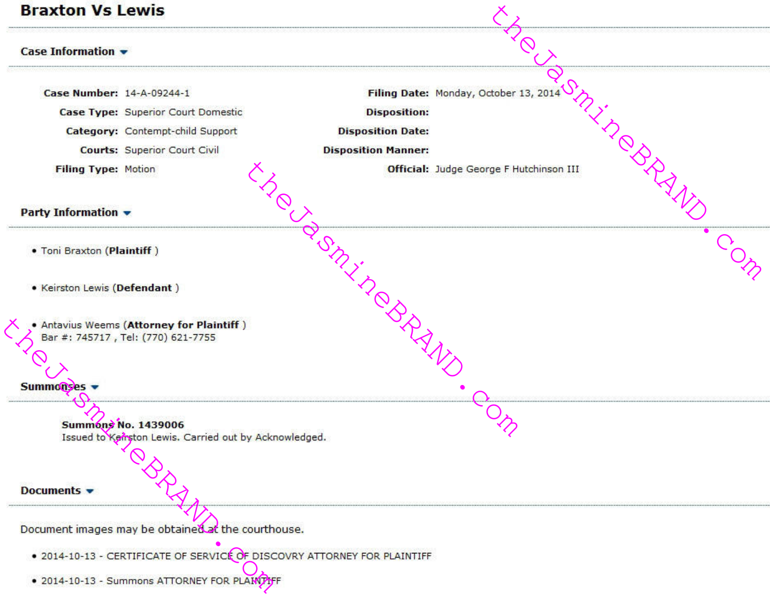# **Braxton Vs Lewis** Report 13, 2014 S<sub>RAND</sub><br>
Stober 13, 2014 S<sub>RAND</sub><br>
Ge F Hutchinson III Domestic<br>
Disposition:<br>
Support<br>
Civil Disposition Date:<br>
Disposition Manner:<br>
Official: Judge G<br>
ON CONSTANDAND OF CONSTANDING PROPERTY Case Information  $\sim$ Case Number: 14-A-09244-1 MAND.com/2020.pdf MAND.com/2020 **Filing Type: Motion** Party Information -. Toni Braxton (Plaintiff) • Keirston Lewis (Defendant) Antavius Weems (Attorney for Plaintiff)<br>
Bar #: 745717, Tel: (770) 621-7755<br>
<br>
Summores S<br>
Summores S<br>
Summores S<br>
Summores S<br>
Summores S<br>
Bocuments S<br>
Document images may be obtained at the courth<br>
<br>
2014-10-13 - CERTIFIC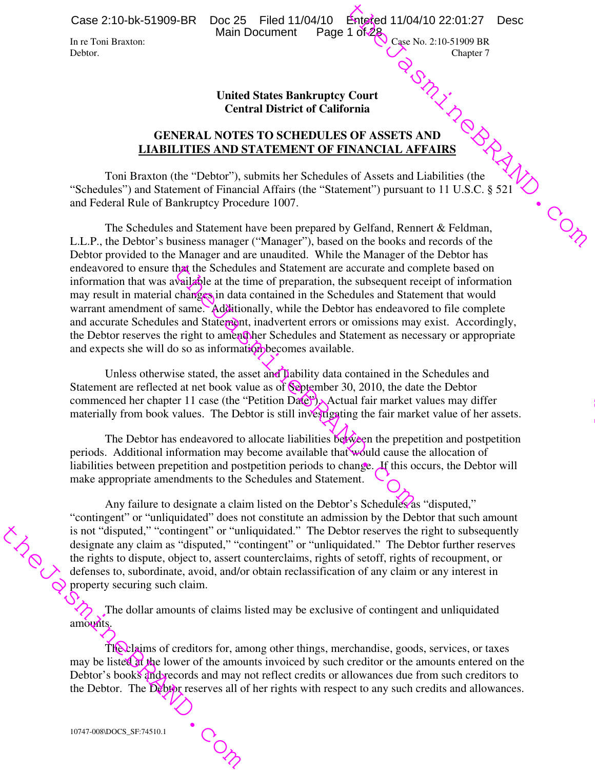Case 2:10-bk-51909-BR Doc 25 Filed 11/04/10 Entered 11/04/10 22:01:27 Desc

Main Document

In re Toni Braxton:  $\bigcirc$  Case No. 2:10-51909 BR Debtor. Chapter 7 Chapter 7 Chapter 7 Chapter 7 Chapter 7 Chapter 7 Chapter 7 Chapter 7 Chapter 7 Chapter 7 Chapter 7 Chapter 7 Chapter 7 Chapter 7 Chapter 7 Chapter 7 Chapter 7 Chapter 7 Chapter 7 Chapter 7 Chapter 7 Chap

# **United States Bankruptcy Court Central District of California**

# **GENERAL NOTES TO SCHEDULES OF ASSETS AND LIABILITIES AND STATEMENT OF FINANCIAL AFFAIRS**

Toni Braxton (the "Debtor"), submits her Schedules of Assets and Liabilities (the "Schedules") and Statement of Financial Affairs (the "Statement") pursuant to 11 U.S.C. § 521 and Federal Rule of Bankruptcy Procedure 1007.

Exercise<br>
Expedience based on<br>
the formation<br>
ent that would<br>
to file complete<br>
sxist. Accordingly,<br>
ary or appropriate<br>
chedules and<br>
the Debtor<br>
ues may differ<br>
value of her assets.<br>
on and postpetition<br>
allocation of<br>
r The Schedules and Statement have been prepared by Gelfand, Rennert & Feldman, L.L.P., the Debtor's business manager ("Manager"), based on the books and records of the Debtor provided to the Manager and are unaudited. While the Manager of the Debtor has endeavored to ensure that the Schedules and Statement are accurate and complete based on information that was available at the time of preparation, the subsequent receipt of information may result in material changes in data contained in the Schedules and Statement that would warrant amendment of same. Additionally, while the Debtor has endeavored to file complete and accurate Schedules and Statement, inadvertent errors or omissions may exist. Accordingly, the Debtor reserves the right to amend her Schedules and Statement as necessary or appropriate and expects she will do so as information becomes available. that the Schedules and Statement are accurate and constitution of the subsequent rechanges in data contained in the Schedules and Statement f same. Additionally, while the Debtor has endeavors and Statement, inadvertent er se N.<br>Quinzipe BRAND.com

Unless otherwise stated, the asset and Dability data contained in the Schedules and Statement are reflected at net book value as of September 30, 2010, the date the Debtor commenced her chapter 11 case (the "Petition Date"). Actual fair market values may differ materially from book values. The Debtor is still investigating the fair market value of her assets.

The Debtor has endeavored to allocate liabilities between the prepetition and postpetition periods. Additional information may become available that would cause the allocation of liabilities between prepetition and postpetition periods to change. If this occurs, the Debtor will make appropriate amendments to the Schedules and Statement.

the Hall of the Debtor. The Debtor SE-74510.1 Nook value as of Superimber 30, 2010, the date the De e (the "Petition Date"). Actual fair market values may be due of the Debtor is still investigating the fair market values may be due it investigating the fair market va Any failure to designate a claim listed on the Debtor's Schedules as "disputed," "contingent" or "unliquidated" does not constitute an admission by the Debtor that such amount is not "disputed," "contingent" or "unliquidated." The Debtor reserves the right to subsequently designate any claim as "disputed," "contingent" or "unliquidated." The Debtor further reserves the rights to dispute, object to, assert counterclaims, rights of setoff, rights of recoupment, or defenses to, subordinate, avoid, and/or obtain reclassification of any claim or any interest in property securing such claim.

The dollar amounts of claims listed may be exclusive of contingent and unliquidated amounts.

The claims of creditors for, among other things, merchandise, goods, services, or taxes may be listed at the lower of the amounts invoiced by such creditor or the amounts entered on the Debtor's books and records and may not reflect credits or allowances due from such creditors to the Debtor. The Debtor reserves all of her rights with respect to any such credits and allowances.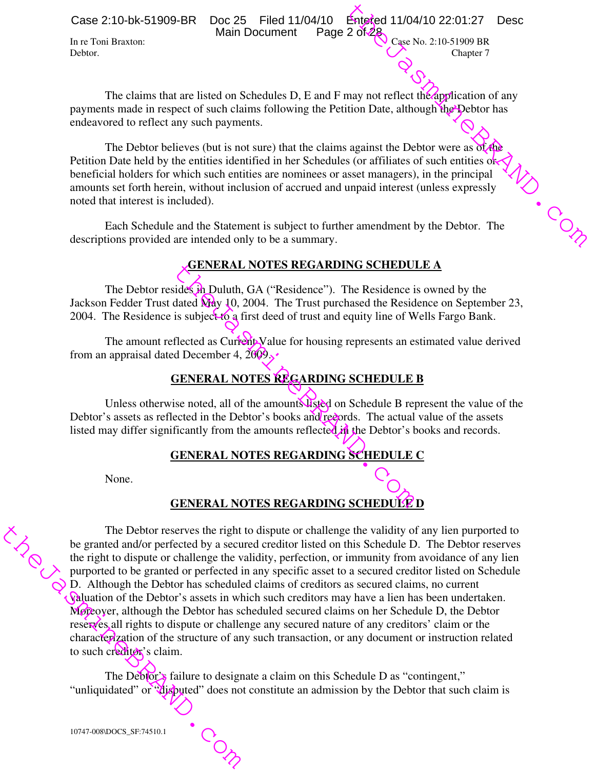Case 2:10-bk-51909-BR Doc 25 Filed 11/04/10 Entered 11/04/10 22:01:27 Desc Main Document

In re Toni Braxton:  $\bigcirc$  Case No. 2:10-51909 BR Debtor. Chapter 7 Chapter 7 Chapter 7 Chapter 7 Chapter 7 Chapter 7 Chapter 7 Chapter 7 Chapter 7 Chapter 7 Chapter 7 Chapter 7 Chapter 7 Chapter 7 Chapter 7 Chapter 7 Chapter 7 Chapter 7 Chapter 7 Chapter 7 Chapter 7 Chap

The claims that are listed on Schedules D, E and F may not reflect the application of any payments made in respect of such claims following the Petition Date, although the Debtor has endeavored to reflect any such payments.

Chapter 7<br>
dication of any<br>
Pebtor has<br>
re as of the<br>
entities of<br>
principal<br>
expressly The Debtor believes (but is not sure) that the claims against the Debtor were as  $\sigma$  the Petition Date held by the entities identified in her Schedules (or affiliates of such entities or beneficial holders for which such entities are nominees or asset managers), in the principal amounts set forth herein, without inclusion of accrued and unpaid interest (unless expressly noted that interest is included).

Each Schedule and the Statement is subject to further amendment by the Debtor. The descriptions provided are intended only to be a summary.

# **GENERAL NOTES REGARDING SCHEDULE A**

GENERAL NOTES REGARDING SCHEDUITE<br>
ides in Duluth, GA ("Residence"). The Residence is<br>
dated May 10, 2004. The Trust purchased the Resid<br>
is subject to a first deed of trust and equity line of W<br>
flected as Current A, 2009 The Debtor resides in Duluth, GA ("Residence"). The Residence is owned by the Jackson Fedder Trust dated  $\mathbf{Mdy}$  10, 2004. The Trust purchased the Residence on September 23, 2004. The Residence is subject to a first deed of trust and equity line of Wells Fargo Bank.

The amount reflected as Current Value for housing represents an estimated value derived from an appraisal dated December 4,  $2009$ .

# **GENERAL NOTES REGARDING SCHEDULE B**

Unless otherwise noted, all of the amounts listed on Schedule B represent the value of the Debtor's assets as reflected in the Debtor's books and records. The actual value of the assets listed may differ significantly from the amounts reflected in the Debtor's books and records.

# **GENERAL NOTES REGARDING SCHEDULE C**

None.

# **GENERAL NOTES REGARDING SCHEDULE D**

The Debtor reserves the right<br>be granted and/or perfected by a secu<br>the right to dispute or challenge the v<br>purported to be granted or perfected i<br>QD. Although the Debtor has schedule<br>Caluation of the Debtor's assets in wh The Debtor reserves the right to dispute or challenge the validity of any lien purported to be granted and/or perfected by a secured creditor listed on this Schedule D. The Debtor reserves the right to dispute or challenge the validity, perfection, or immunity from avoidance of any lien purported to be granted or perfected in any specific asset to a secured creditor listed on Schedule D. Although the Debtor has scheduled claims of creditors as secured claims, no current valuation of the Debtor's assets in which such creditors may have a lien has been undertaken. Moreover, although the Debtor has scheduled secured claims on her Schedule D, the Debtor reserves all rights to dispute or challenge any secured nature of any creditors' claim or the characterization of the structure of any such transaction, or any document or instruction related to such creditor's claim.

The Debtor's failure to designate a claim on this Schedule D as "contingent," "unliquidated" or "disputed" does not constitute an admission by the Debtor that such claim is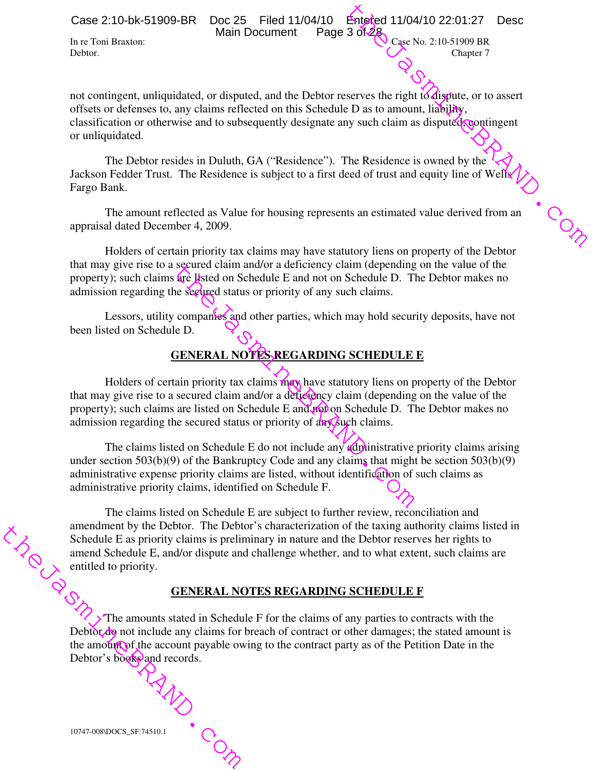Case 2:10-bk-51909-BR Doc 25 Filed 11/04/10 Entered 11/04/10 22:01:27 Desc Main Document

In re Toni Braxton:  $\bigcirc$  Case No. 2:10-51909 BR Debtor. Chapter 7 Chapter 7 Chapter 7 Chapter 7 Chapter 7 Chapter 7 Chapter 7 Chapter 7 Chapter 7 Chapter 7 Chapter 7 Chapter 7 Chapter 7 Chapter 7 Chapter 7 Chapter 7 Chapter 7 Chapter 7 Chapter 7 Chapter 7 Chapter 7 Chap

Entered 11/04/10 22:01:27 Desc<br>
3 of 28<br>
Case No. 2:10-51909 BR<br>
Chapter 7<br>
Serves the right to dispute, or to assert<br>
D as to amount, liability,<br>
by such claim as disputed contingent<br>
The Residence is owned by the<br>
eed of not contingent, unliquidated, or disputed, and the Debtor reserves the right to dispute, or to assert offsets or defenses to, any claims reflected on this Schedule D as to amount, liability, classification or otherwise and to subsequently designate any such claim as disputed, contingent or unliquidated.

The Debtor resides in Duluth, GA ("Residence"). The Residence is owned by the Jackson Fedder Trust. The Residence is subject to a first deed of trust and equity line of Wells Fargo Bank.

The amount reflected as Value for housing represents an estimated value derived from an appraisal dated December 4, 2009.

Holders of certain priority tax claims may have statutory liens on property of the Debtor that may give rise to a secured claim and/or a deficiency claim (depending on the value of the property); such claims are listed on Schedule E and not on Schedule D. The Debtor makes no admission regarding the secured status or priority of any such claims.

Lessors, utility companies and other parties, which may hold security deposits, have not been listed on Schedule D.

# **GENERAL NOTES REGARDING SCHEDULE E**

Holders of certain priority tax claims may have statutory liens on property of the Debtor that may give rise to a secured claim and/or a deficiency claim (depending on the value of the property); such claims are listed on Schedule E and not on Schedule D. The Debtor makes no admission regarding the secured status or priority of  $\frac{d}{dx}$  such claims.

secured claim and/or a derictency claim (depending<br>fore listed on Schedule E and not on Schedule D. Tl<br>ne secured status or priority of any such claims.<br>Companies and other parties, which may hold secure<br> $\overline{CD}$ <br> $\overline{CD}$ <br> The claims listed on Schedule E do not include any **administrative priority claims arising** under section  $503(b)(9)$  of the Bankruptcy Code and any claims that might be section  $503(b)(9)$ administrative expense priority claims are listed, without identification of such claims as administrative priority claims, identified on Schedule F.

Schemend Schemend Schemend Schemend Schemend Schemend Schemend Schemend Schemend Schemend Schemend Debtor day not include any claims for the amount of the account payable over Debtor's books and records. The claims listed on Schedule E are subject to further review, reconciliation and amendment by the Debtor. The Debtor's characterization of the taxing authority claims listed in Schedule E as priority claims is preliminary in nature and the Debtor reserves her rights to amend Schedule E, and/or dispute and challenge whether, and to what extent, such claims are entitled to priority.

#### **GENERAL NOTES REGARDING SCHEDULE F**

The amounts stated in Schedule F for the claims of any parties to contracts with the Debtor do not include any claims for breach of contract or other damages; the stated amount is the amount of the account payable owing to the contract party as of the Petition Date in the Debtor's books and records.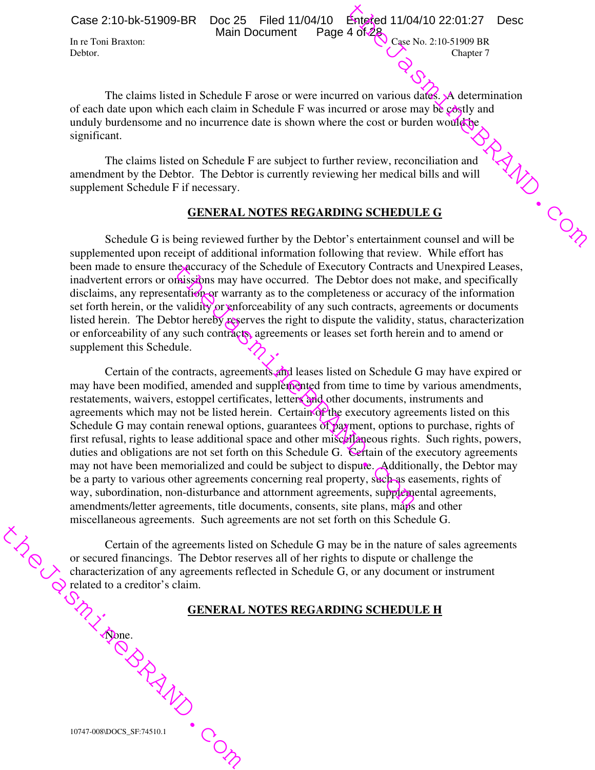Case 2:10-bk-51909-BR Doc 25 Filed 11/04/10 Entered 11/04/10 22:01:27 Desc

Main Document

In re Toni Braxton:  $\bigcirc$  Case No. 2:10-51909 BR Debtor. Chapter 7 Chapter 7 Chapter 7 Chapter 7 Chapter 7 Chapter 7 Chapter 7 Chapter 7 Chapter 7 Chapter 7 Chapter 7 Chapter 7 Chapter 7 Chapter 7 Chapter 7 Chapter 7 Chapter 7 Chapter 7 Chapter 7 Chapter 7 Chapter 7 Chap

Chapter 7<br>
A determination<br>
very and<br>
and<br>
The Contract Contract Contract Contract Contract Contract Contract Contract Contract Contract Contract Contract Contract Contract Contract Contract Contract Contract Contract Cont The claims listed in Schedule F arose or were incurred on various dates. A determination of each date upon which each claim in Schedule F was incurred or arose may be costly and unduly burdensome and no incurrence date is shown where the cost or burden would be significant.

The claims listed on Schedule F are subject to further review, reconciliation and amendment by the Debtor. The Debtor is currently reviewing her medical bills and will supplement Schedule F if necessary.

### **GENERAL NOTES REGARDING SCHEDULE G**

Schedule G is being reviewed further by the Debtor's entertainment counsel and will be supplemented upon receipt of additional information following that review. While effort has been made to ensure the accuracy of the Schedule of Executory Contracts and Unexpired Leases, inadvertent errors or omissions may have occurred. The Debtor does not make, and specifically disclaims, any representation or warranty as to the completeness or accuracy of the information set forth herein, or the validity or enforceability of any such contracts, agreements or documents listed herein. The Debtor hereby reserves the right to dispute the validity, status, characterization or enforceability of any such contracts, agreements or leases set forth herein and to amend or supplement this Schedule.

ne accuracy of the Schedule of Executory Contracts<br>thissions may have occurred. The Debtor does not r<br>thation-or warranty as to the completeness or accura<br>validity or enforceability of any such contracts, agre<br>tor hereby r Certain of the contracts, agreements and leases listed on Schedule G may have expired or may have been modified, amended and supplemented from time to time by various amendments, restatements, waivers, estoppel certificates, letters and other documents, instruments and agreements which may not be listed herein. Certain of the executory agreements listed on this Schedule G may contain renewal options, guarantees of payment, options to purchase, rights of first refusal, rights to lease additional space and other miscallaneous rights. Such rights, powers, duties and obligations are not set forth on this Schedule G. Certain of the executory agreements may not have been memorialized and could be subject to dispute. Additionally, the Debtor may be a party to various other agreements concerning real property, such as easements, rights of way, subordination, non-disturbance and attornment agreements, supplemental agreements, amendments/letter agreements, title documents, consents, site plans, maps and other miscellaneous agreements. Such agreements are not set forth on this Schedule G.

Certain of the agreements list<br>
or secured financings. The Debtor re<br>
characterization of any agreements re<br>
characterization of any agreements re<br>
characterization of any agreements re<br>
characterization of any agreements Certain of the agreements listed on Schedule G may be in the nature of sales agreements or secured financings. The Debtor reserves all of her rights to dispute or challenge the characterization of any agreements reflected in Schedule G, or any document or instrument related to a creditor's claim.

#### **GENERAL NOTES REGARDING SCHEDULE H**

10747-008\DOCS\_SF:74510.1

None.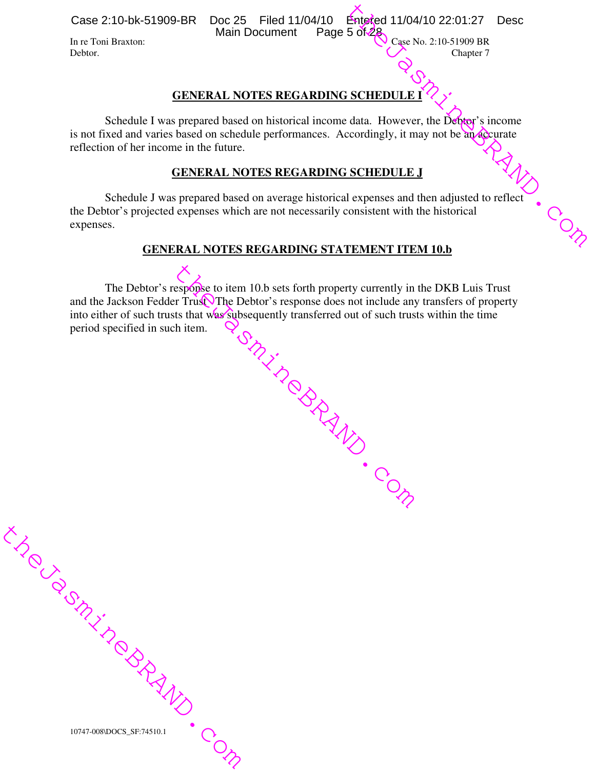Case 2:10-bk-51909-BR Doc 25 Filed 11/04/10 Entered 11/04/10 22:01:27 Desc<br>Main Document Page 5 of 28

Main Document

In re Toni Braxton: Case No. 2:10-51909 BR

**GENERAL NOTES REGARDING SCHEDULE I**

Debtor. Chapter 7 Chapter 7 Chapter 7 Chapter 7 Chapter 7 Chapter 7 Chapter 7 Chapter 7 Chapter 7 Chapter 7 Chapter 7 Chapter 7 Chapter 7 Chapter 7 Chapter 7 Chapter 7 Chapter 7 Chapter 7 Chapter 7 Chapter 7 Chapter 7 Chap

Schedule I was prepared based on historical income data. However, the Debtor's income is not fixed and varies based on schedule performances. Accordingly, it may not be an accurate reflection of her income in the future.

### **GENERAL NOTES REGARDING SCHEDULE J**

Entered 11/04/10 22:01:27 Desc<br>
5 of 28<br>
Case No. 2:10-51909 BR<br>
Chapter 7<br>
SCHEDULE I<br>
A<br>
data. However, the Debtor's income<br>
coordingly, it may not be an accurate<br>
SCHEDULE J<br>
l expenses and then adjusted to reflect<br>
con GENERAL NOTES REGARDING SURVALUSE .<br>Schedule J was prepared based on average historical expenses and then adjusted to reflect the Debtor's projected expenses which are not necessarily consistent with the historical expenses.

## **GENERAL NOTES REGARDING STATEMENT ITEM 10.b**

head to Mill Comp The Debtor's response to item 10.b sets forth property currently in the DKB Luis Trust and the Jackson Fedder Trust The Debtor's response does not include any transfers of property into either of such trusts that was subsequently transferred out of such trusts within the time period specified in such item.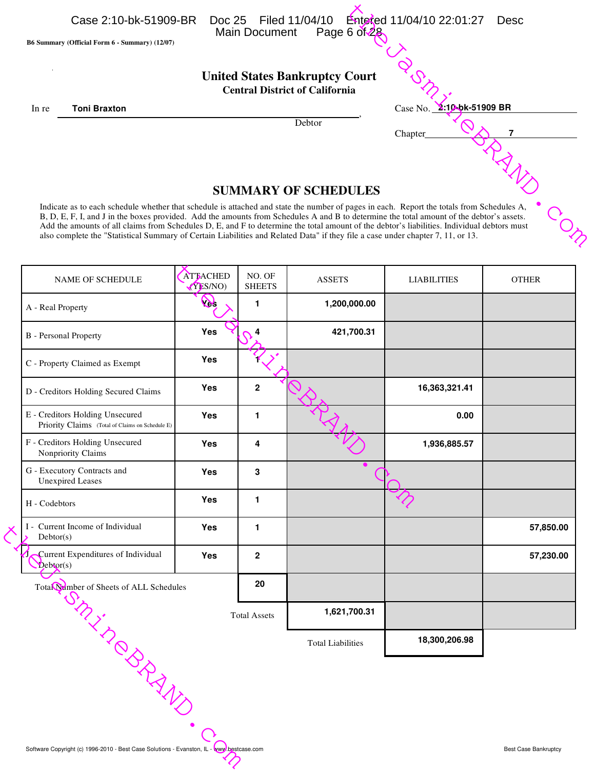|       | Case 2:10-bk-51909-BR                                                                                                           | Doc 25 Filed 11/04/10                 | <b>Entered 11/04/10 22:01:27</b>                                                                                                            | Desc |
|-------|---------------------------------------------------------------------------------------------------------------------------------|---------------------------------------|---------------------------------------------------------------------------------------------------------------------------------------------|------|
|       |                                                                                                                                 | <b>Main Document</b>                  | Page 6 $\delta$ 28                                                                                                                          |      |
|       | B6 Summary (Official Form 6 - Summary) (12/07)                                                                                  |                                       |                                                                                                                                             |      |
|       |                                                                                                                                 |                                       |                                                                                                                                             |      |
|       |                                                                                                                                 |                                       |                                                                                                                                             |      |
|       |                                                                                                                                 | <b>United States Bankruptcy Court</b> |                                                                                                                                             |      |
|       |                                                                                                                                 | <b>Central District of California</b> |                                                                                                                                             |      |
| In re | <b>Toni Braxton</b>                                                                                                             |                                       | Case No. 2:10 bk-51909 BR                                                                                                                   |      |
|       |                                                                                                                                 | Debtor                                |                                                                                                                                             |      |
|       |                                                                                                                                 |                                       | Chapter                                                                                                                                     |      |
|       |                                                                                                                                 |                                       |                                                                                                                                             |      |
|       |                                                                                                                                 |                                       |                                                                                                                                             |      |
|       |                                                                                                                                 |                                       |                                                                                                                                             |      |
|       |                                                                                                                                 |                                       |                                                                                                                                             |      |
|       |                                                                                                                                 | <b>SUMMARY OF SCHEDULES</b>           |                                                                                                                                             |      |
|       |                                                                                                                                 |                                       | Indicate as to each schedule whether that schedule is attached and state the number of pages in each. Report the totals from Schedules A,   |      |
|       |                                                                                                                                 |                                       | B, D, E, F, I, and J in the boxes provided. Add the amounts from Schedules A and B to determine the total amount of the debtor's assets.    |      |
|       |                                                                                                                                 |                                       | Add the amounts of all claims from Schedules D, E, and F to determine the total amount of the debtor's liabilities. Individual debtors must |      |
|       | also complete the "Statistical Summary of Certain Liabilities and Related Data" if they file a case under chapter 7, 11, or 13. |                                       |                                                                                                                                             |      |

# **SUMMARY OF SCHEDULES**

| NAME OF SCHEDULE                                                                         | <b>ATTACHED</b><br>YES/NO) | NO. OF<br><b>SHEETS</b> | <b>ASSETS</b>            | <b>LIABILITIES</b> | <b>OTHER</b>                |
|------------------------------------------------------------------------------------------|----------------------------|-------------------------|--------------------------|--------------------|-----------------------------|
| A - Real Property                                                                        | ØĨ.                        | $\blacksquare$          | 1,200,000.00             |                    |                             |
| <b>B</b> - Personal Property                                                             | Yes                        | 4                       | 421,700.31               |                    |                             |
| C - Property Claimed as Exempt                                                           | Yes                        |                         |                          |                    |                             |
| D - Creditors Holding Secured Claims                                                     | <b>Yes</b>                 | $\mathbf 2$             |                          | 16,363,321.41      |                             |
| E - Creditors Holding Unsecured<br>Priority Claims (Total of Claims on Schedule E)       | Yes                        | 1                       |                          | 0.00               |                             |
| F - Creditors Holding Unsecured<br>Nonpriority Claims                                    | <b>Yes</b>                 | 4                       |                          | 1,936,885.57       |                             |
| G - Executory Contracts and<br><b>Unexpired Leases</b>                                   | Yes                        | 3                       |                          |                    |                             |
| H - Codebtors                                                                            | <b>Yes</b>                 | 1                       |                          |                    |                             |
| I - Current Income of Individual<br>Debtor(s)                                            | Yes                        | $\mathbf{1}$            |                          |                    | 57,850.00                   |
| Current Expenditures of Individual<br>$\mathbf{b}$ ebtor(s)                              | Yes                        | $\overline{\mathbf{2}}$ |                          |                    | 57,230.00                   |
| Total Number of Sheets of ALL Schedules                                                  |                            | 20                      |                          |                    |                             |
|                                                                                          |                            | <b>Total Assets</b>     | 1,621,700.31             |                    |                             |
|                                                                                          |                            |                         | <b>Total Liabilities</b> | 18,300,206.98      |                             |
|                                                                                          |                            |                         |                          |                    |                             |
| Martin Company                                                                           |                            |                         |                          |                    |                             |
|                                                                                          |                            |                         |                          |                    |                             |
| Software Copyright (c) 1996-2010 - Best Case Solutions - Evanston, IL - www.bestcase.com |                            |                         |                          |                    | <b>Best Case Bankruptcy</b> |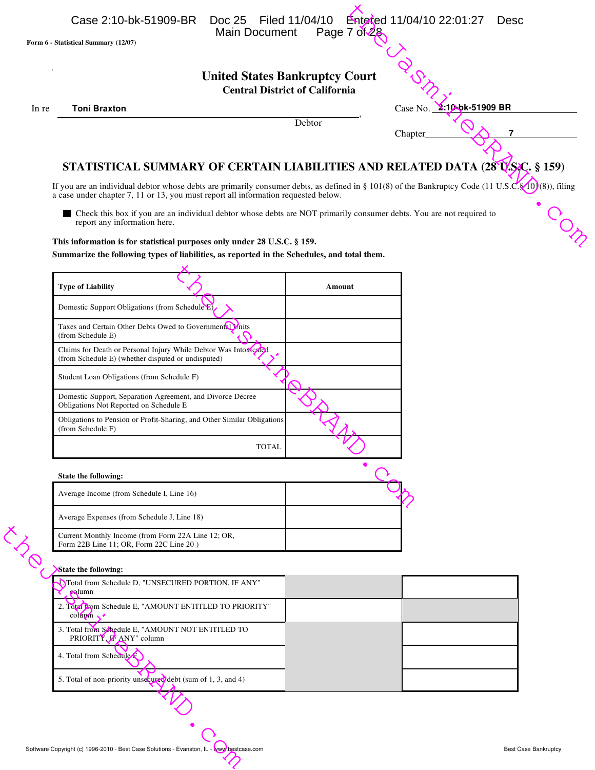|       | Form 6 - Statistical Summary (12/07)                                                                                                                                                                                                                        |                                                                                |                                   |                       |
|-------|-------------------------------------------------------------------------------------------------------------------------------------------------------------------------------------------------------------------------------------------------------------|--------------------------------------------------------------------------------|-----------------------------------|-----------------------|
|       |                                                                                                                                                                                                                                                             | <b>United States Bankruptcy Court</b><br><b>Central District of California</b> |                                   |                       |
| In re | <b>Toni Braxton</b>                                                                                                                                                                                                                                         |                                                                                | Case No. $\overline{\phantom{a}}$ | <b>10-bk-51909 BR</b> |
|       |                                                                                                                                                                                                                                                             | Debtor                                                                         | Chapter                           | $\overline{7}$        |
|       |                                                                                                                                                                                                                                                             |                                                                                |                                   |                       |
|       | STATISTICAL SUMMARY OF CERTAIN LIABILITIES AND RELATED DATA (28 US/C. § 159)                                                                                                                                                                                |                                                                                |                                   |                       |
|       | If you are an individual debtor whose debts are primarily consumer debts, as defined in § 101(8) of the Bankruptcy Code (11 U.S.C. $\frac{\sqrt{6}}{10}$ (8)), filing<br>a case under chapter 7, 11 or 13, you must report all information requested below. |                                                                                |                                   |                       |
|       | ■ Check this box if you are an individual debtor whose debts are NOT primarily consumer debts. You are not required to                                                                                                                                      |                                                                                |                                   |                       |
|       | report any information here.<br>This information is for statistical purposes only under 28 U.S.C. § 159.                                                                                                                                                    |                                                                                |                                   |                       |
|       | Summarize the following types of liabilities, as reported in the Schedules, and total them.                                                                                                                                                                 |                                                                                |                                   |                       |
|       |                                                                                                                                                                                                                                                             |                                                                                |                                   |                       |
|       | <b>Type of Liability</b>                                                                                                                                                                                                                                    | Amount                                                                         |                                   |                       |
|       | Domestic Support Obligations (from Schedule E)<br>Taxes and Certain Other Debts Owed to Governmental Vnits                                                                                                                                                  |                                                                                |                                   |                       |
|       | (from Schedule E)                                                                                                                                                                                                                                           |                                                                                |                                   |                       |
|       | Claims for Death or Personal Injury While Debtor Was Intoxicated<br>(from Schedule E) (whether disputed or undisputed)                                                                                                                                      |                                                                                |                                   |                       |
|       | Student Loan Obligations (from Schedule F)                                                                                                                                                                                                                  |                                                                                |                                   |                       |
|       | Domestic Support, Separation Agreement, and Divorce Decree<br>Obligations Not Reported on Schedule E                                                                                                                                                        |                                                                                |                                   |                       |
|       | Obligations to Pension or Profit-Sharing, and Other Similar Obligations<br>(from Schedule F)                                                                                                                                                                |                                                                                |                                   |                       |
|       |                                                                                                                                                                                                                                                             | <b>TOTAL</b>                                                                   |                                   |                       |
|       |                                                                                                                                                                                                                                                             |                                                                                |                                   |                       |
|       | State the following:                                                                                                                                                                                                                                        |                                                                                |                                   |                       |
|       | Average Income (from Schedule I, Line 16)                                                                                                                                                                                                                   |                                                                                |                                   |                       |
|       | Average Expenses (from Schedule J, Line 18)                                                                                                                                                                                                                 |                                                                                |                                   |                       |
|       | Current Monthly Income (from Form 22A Line 12; OR,<br>Form 22B Line 11; OR, Form 22C Line 20)                                                                                                                                                               |                                                                                |                                   |                       |
|       | State the following:                                                                                                                                                                                                                                        |                                                                                |                                   |                       |
|       | Total from Schedule D, "UNSECURED PORTION, IF ANY"<br>eslumn                                                                                                                                                                                                |                                                                                |                                   |                       |
|       | 2. Total Dom Schedule E, "AMOUNT ENTITLED TO PRIORITY"<br>$\text{col}$ on $\mathbf{f}$                                                                                                                                                                      |                                                                                |                                   |                       |
|       | 3. Total from Schedule E, "AMOUNT NOT ENTITLED TO<br>PRIORITY JF ANY" column                                                                                                                                                                                |                                                                                |                                   |                       |
|       | 4. Total from Schedule                                                                                                                                                                                                                                      |                                                                                |                                   |                       |
|       | 5. Total of non-priority unsecured debt (sum of 1, 3, and 4)                                                                                                                                                                                                |                                                                                |                                   |                       |
|       |                                                                                                                                                                                                                                                             |                                                                                |                                   |                       |
|       |                                                                                                                                                                                                                                                             |                                                                                |                                   |                       |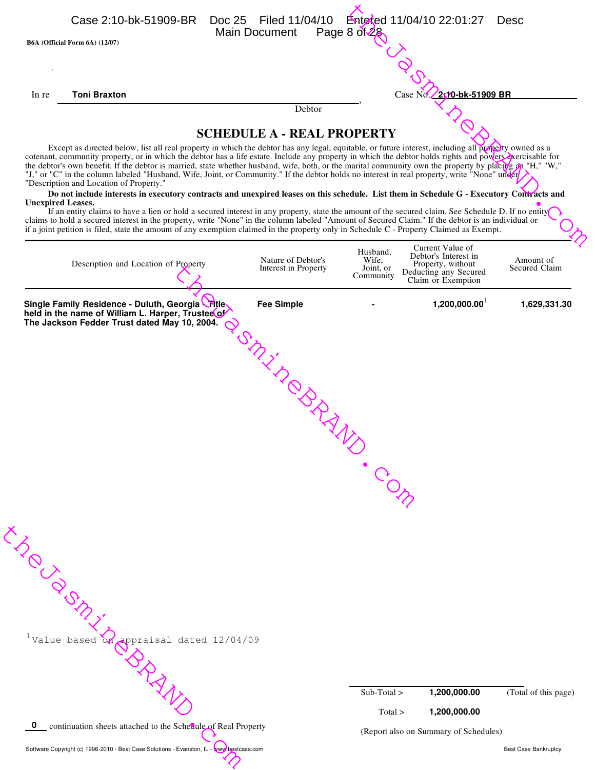|                                                                                                | Case 2:10-bk-51909-BR                                         | Doc 25<br>Filed 11/04/10                                                                                                                                                                                                                                                                                                                                                                                                                                                                                                                                                                                                                 |                                 | <b>Entered 11/04/10 22:01:27</b>                                                         | Desc                       |
|------------------------------------------------------------------------------------------------|---------------------------------------------------------------|------------------------------------------------------------------------------------------------------------------------------------------------------------------------------------------------------------------------------------------------------------------------------------------------------------------------------------------------------------------------------------------------------------------------------------------------------------------------------------------------------------------------------------------------------------------------------------------------------------------------------------------|---------------------------------|------------------------------------------------------------------------------------------|----------------------------|
| <b>B6A</b> (Official Form 6A) (12/07)                                                          |                                                               | <b>Main Document</b>                                                                                                                                                                                                                                                                                                                                                                                                                                                                                                                                                                                                                     | Page 8 $of \mathbb{Z}$          |                                                                                          |                            |
|                                                                                                |                                                               |                                                                                                                                                                                                                                                                                                                                                                                                                                                                                                                                                                                                                                          |                                 |                                                                                          |                            |
|                                                                                                |                                                               |                                                                                                                                                                                                                                                                                                                                                                                                                                                                                                                                                                                                                                          |                                 |                                                                                          |                            |
| <b>Toni Braxton</b><br>In re                                                                   |                                                               |                                                                                                                                                                                                                                                                                                                                                                                                                                                                                                                                                                                                                                          |                                 | 2:10-bk-51909 BR<br>Case N                                                               |                            |
|                                                                                                |                                                               | Debtor                                                                                                                                                                                                                                                                                                                                                                                                                                                                                                                                                                                                                                   |                                 |                                                                                          |                            |
|                                                                                                |                                                               |                                                                                                                                                                                                                                                                                                                                                                                                                                                                                                                                                                                                                                          |                                 |                                                                                          |                            |
|                                                                                                |                                                               | <b>SCHEDULE A - REAL PROPERTY</b>                                                                                                                                                                                                                                                                                                                                                                                                                                                                                                                                                                                                        |                                 |                                                                                          |                            |
|                                                                                                |                                                               | Except as directed below, list all real property in which the debtor has any legal, equitable, or future interest, including all property owned as a<br>cotenant, community property, or in which the debtor has a life estate. Include any property in which the debtor holds rights and powers exercisable for<br>the debtor's own benefit. If the debtor is married, state whether husband, wife, both, or the marital community own the property by placing $\mathbf{g}_0$ "H," "W,"<br>"J," or "C" in the column labeled "Husband, Wife, Joint, or Community." If the debtor holds no interest in real property, write "None" under |                                 |                                                                                          |                            |
| "Description and Location of Property."                                                        |                                                               | Do not include interests in executory contracts and unexpired leases on this schedule. List them in Schedule G - Executory Contracts and                                                                                                                                                                                                                                                                                                                                                                                                                                                                                                 |                                 |                                                                                          |                            |
| <b>Unexpired Leases.</b>                                                                       |                                                               | If an entity claims to have a lien or hold a secured interest in any property, state the amount of the secured claim. See Schedule D. If no entity<br>claims to hold a secured interest in the property, write "None" in the column labeled "Amount of Secured Claim." If the debtor is an individual or<br>if a joint petition is filed, state the amount of any exemption claimed in the property only in Schedule C - Property Claimed as Exempt.                                                                                                                                                                                     |                                 |                                                                                          |                            |
|                                                                                                |                                                               |                                                                                                                                                                                                                                                                                                                                                                                                                                                                                                                                                                                                                                          | Husband,                        | Current Value of                                                                         |                            |
|                                                                                                | Description and Location of Property                          | Nature of Debtor's<br>Interest in Property                                                                                                                                                                                                                                                                                                                                                                                                                                                                                                                                                                                               | Wife,<br>Joint, or<br>Community | Debtor's Interest in<br>Property, without<br>Deducting any Secured<br>Claim or Exemption | Amount of<br>Secured Claim |
|                                                                                                |                                                               |                                                                                                                                                                                                                                                                                                                                                                                                                                                                                                                                                                                                                                          |                                 |                                                                                          |                            |
| Single Family Residence - Duluth, Georgia<br>held in the name of William L. Harper, Trustee of |                                                               | <b>Fee Simple</b>                                                                                                                                                                                                                                                                                                                                                                                                                                                                                                                                                                                                                        |                                 | $1,200,000.00$ <sup><math>\perp</math></sup>                                             | 1,629,331.30               |
|                                                                                                |                                                               | POMILIAND MIN                                                                                                                                                                                                                                                                                                                                                                                                                                                                                                                                                                                                                            |                                 |                                                                                          |                            |
|                                                                                                |                                                               |                                                                                                                                                                                                                                                                                                                                                                                                                                                                                                                                                                                                                                          |                                 |                                                                                          |                            |
|                                                                                                |                                                               |                                                                                                                                                                                                                                                                                                                                                                                                                                                                                                                                                                                                                                          |                                 |                                                                                          |                            |
| ELA BUSINIS                                                                                    |                                                               |                                                                                                                                                                                                                                                                                                                                                                                                                                                                                                                                                                                                                                          |                                 |                                                                                          |                            |
|                                                                                                |                                                               |                                                                                                                                                                                                                                                                                                                                                                                                                                                                                                                                                                                                                                          |                                 |                                                                                          |                            |
|                                                                                                |                                                               |                                                                                                                                                                                                                                                                                                                                                                                                                                                                                                                                                                                                                                          |                                 |                                                                                          |                            |
|                                                                                                |                                                               |                                                                                                                                                                                                                                                                                                                                                                                                                                                                                                                                                                                                                                          |                                 |                                                                                          |                            |
|                                                                                                |                                                               |                                                                                                                                                                                                                                                                                                                                                                                                                                                                                                                                                                                                                                          |                                 |                                                                                          |                            |
|                                                                                                |                                                               |                                                                                                                                                                                                                                                                                                                                                                                                                                                                                                                                                                                                                                          |                                 |                                                                                          |                            |
|                                                                                                |                                                               |                                                                                                                                                                                                                                                                                                                                                                                                                                                                                                                                                                                                                                          |                                 |                                                                                          |                            |
| <sup>1</sup> Value based or appraisal dated 12/04/09                                           |                                                               |                                                                                                                                                                                                                                                                                                                                                                                                                                                                                                                                                                                                                                          | Sub-Total >                     | 1,200,000.00                                                                             | (Total of this page)       |
|                                                                                                |                                                               |                                                                                                                                                                                                                                                                                                                                                                                                                                                                                                                                                                                                                                          | Total >                         | 1,200,000.00                                                                             |                            |
|                                                                                                | continuation sheets attached to the Schedule of Real Property |                                                                                                                                                                                                                                                                                                                                                                                                                                                                                                                                                                                                                                          |                                 | (Report also on Summary of Schedules)                                                    |                            |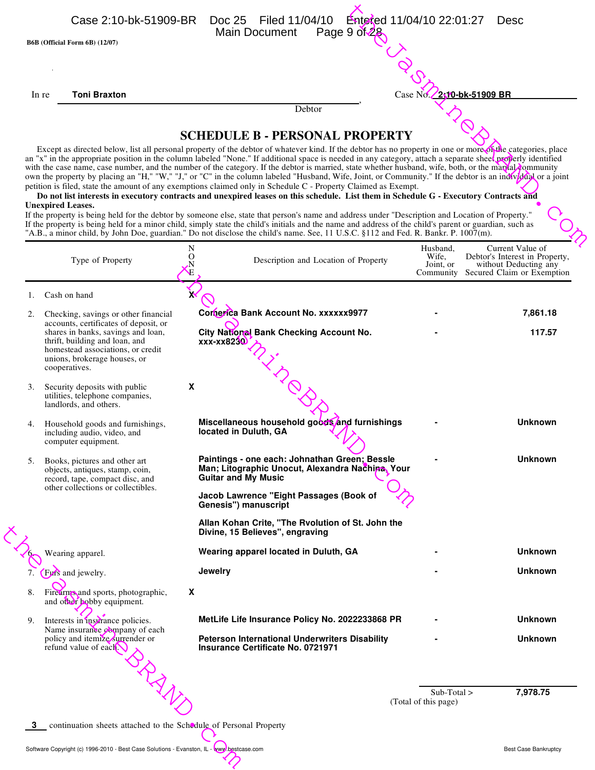|       |                                                                                                                                                                                                                            | Page 9 $of \mathbb{Z}$<br><b>Main Document</b>                                                                                                                                                                                                                                                                                                                                                                                                                                                                                                                                                                                                                                                                                                                                                                                                                                                                                                       |                                             |                                                                                                           |
|-------|----------------------------------------------------------------------------------------------------------------------------------------------------------------------------------------------------------------------------|------------------------------------------------------------------------------------------------------------------------------------------------------------------------------------------------------------------------------------------------------------------------------------------------------------------------------------------------------------------------------------------------------------------------------------------------------------------------------------------------------------------------------------------------------------------------------------------------------------------------------------------------------------------------------------------------------------------------------------------------------------------------------------------------------------------------------------------------------------------------------------------------------------------------------------------------------|---------------------------------------------|-----------------------------------------------------------------------------------------------------------|
|       | B6B (Official Form 6B) (12/07)                                                                                                                                                                                             |                                                                                                                                                                                                                                                                                                                                                                                                                                                                                                                                                                                                                                                                                                                                                                                                                                                                                                                                                      |                                             |                                                                                                           |
|       |                                                                                                                                                                                                                            |                                                                                                                                                                                                                                                                                                                                                                                                                                                                                                                                                                                                                                                                                                                                                                                                                                                                                                                                                      |                                             |                                                                                                           |
|       |                                                                                                                                                                                                                            |                                                                                                                                                                                                                                                                                                                                                                                                                                                                                                                                                                                                                                                                                                                                                                                                                                                                                                                                                      |                                             |                                                                                                           |
| In re | <b>Toni Braxton</b>                                                                                                                                                                                                        | Debtor                                                                                                                                                                                                                                                                                                                                                                                                                                                                                                                                                                                                                                                                                                                                                                                                                                                                                                                                               | Case No.                                    | 2:10-bk-51909 BR                                                                                          |
|       |                                                                                                                                                                                                                            |                                                                                                                                                                                                                                                                                                                                                                                                                                                                                                                                                                                                                                                                                                                                                                                                                                                                                                                                                      |                                             |                                                                                                           |
|       | <b>Unexpired Leases.</b>                                                                                                                                                                                                   | <b>SCHEDULE B - PERSONAL PROPERTY</b><br>Except as directed below, list all personal property of the debtor of whatever kind. If the debtor has no property in one or more of the categories, place<br>an "x" in the appropriate position in the column labeled "None." If additional space is needed in any category, attach a separate sheet properly identified<br>with the case name, case number, and the number of the category. If the debtor is married, state whether husband, wife, both, or the manial community<br>own the property by placing an "H," "W," "J," or "C" in the column labeled "Husband, Wife, Joint, or Community." If the debtor is an individual or a joint<br>petition is filed, state the amount of any exemptions claimed only in Schedule C - Property Claimed as Exempt.<br>Do not list interests in executory contracts and unexpired leases on this schedule. List them in Schedule G - Executory Contracts and |                                             |                                                                                                           |
|       |                                                                                                                                                                                                                            | If the property is being held for the debtor by someone else, state that person's name and address under "Description and Location of Property."<br>If the property is being held for a minor child, simply state the child's initials and the name and address of the child's parent or guardian, such as                                                                                                                                                                                                                                                                                                                                                                                                                                                                                                                                                                                                                                           |                                             |                                                                                                           |
|       | Type of Property                                                                                                                                                                                                           | "A.B., a minor child, by John Doe, guardian." Do not disclose the child's name. See, 11 U.S.C. §112 and Fed. R. Bankr. P. 1007(m).<br>N<br>О<br>Description and Location of Property                                                                                                                                                                                                                                                                                                                                                                                                                                                                                                                                                                                                                                                                                                                                                                 | Husband,<br>Wife,<br>Joint, or<br>Community | Current Value of<br>Debtor's Interest in Property,<br>without Deducting any<br>Secured Claim or Exemption |
| 1.    | Cash on hand                                                                                                                                                                                                               | ُ×                                                                                                                                                                                                                                                                                                                                                                                                                                                                                                                                                                                                                                                                                                                                                                                                                                                                                                                                                   |                                             |                                                                                                           |
|       |                                                                                                                                                                                                                            | Connerica Bank Account No. xxxxxx9977                                                                                                                                                                                                                                                                                                                                                                                                                                                                                                                                                                                                                                                                                                                                                                                                                                                                                                                |                                             | 7,861.18                                                                                                  |
| 2.    | Checking, savings or other financial<br>accounts, certificates of deposit, or<br>shares in banks, savings and loan,<br>thrift, building and loan, and<br>homestead associations, or credit<br>unions, brokerage houses, or | City National Bank Checking Account No.<br>xxx-xx8230                                                                                                                                                                                                                                                                                                                                                                                                                                                                                                                                                                                                                                                                                                                                                                                                                                                                                                |                                             | 117.57                                                                                                    |
| 3.    | cooperatives.<br>Security deposits with public<br>utilities, telephone companies,<br>landlords, and others.                                                                                                                | X                                                                                                                                                                                                                                                                                                                                                                                                                                                                                                                                                                                                                                                                                                                                                                                                                                                                                                                                                    |                                             |                                                                                                           |
| 4.    | Household goods and furnishings,<br>including audio, video, and<br>computer equipment.                                                                                                                                     | Miscellaneous household goods and furnishings<br>located in Duluth, GA                                                                                                                                                                                                                                                                                                                                                                                                                                                                                                                                                                                                                                                                                                                                                                                                                                                                               |                                             | <b>Unknown</b>                                                                                            |
| 5.    | Books, pictures and other art<br>objects, antiques, stamp, coin,<br>record, tape, compact disc, and<br>other collections or collectibles.                                                                                  | Paintings - one each: Johnathan Green; Bessle<br>Man; Litographic Unocut, Alexandra Nachina, Your<br><b>Guitar and My Music</b><br>Jacob Lawrence "Eight Passages (Book of                                                                                                                                                                                                                                                                                                                                                                                                                                                                                                                                                                                                                                                                                                                                                                           |                                             | <b>Unknown</b>                                                                                            |
|       |                                                                                                                                                                                                                            | Genesis") manuscript                                                                                                                                                                                                                                                                                                                                                                                                                                                                                                                                                                                                                                                                                                                                                                                                                                                                                                                                 |                                             |                                                                                                           |
|       |                                                                                                                                                                                                                            | Allan Kohan Crite, "The Rvolution of St. John the<br>Divine, 15 Believes", engraving                                                                                                                                                                                                                                                                                                                                                                                                                                                                                                                                                                                                                                                                                                                                                                                                                                                                 |                                             |                                                                                                           |
|       | Wearing apparel.                                                                                                                                                                                                           | Wearing apparel located in Duluth, GA                                                                                                                                                                                                                                                                                                                                                                                                                                                                                                                                                                                                                                                                                                                                                                                                                                                                                                                |                                             | <b>Unknown</b>                                                                                            |
|       | 7. (Fyrs and jewelry.                                                                                                                                                                                                      | <b>Jewelry</b>                                                                                                                                                                                                                                                                                                                                                                                                                                                                                                                                                                                                                                                                                                                                                                                                                                                                                                                                       |                                             | <b>Unknown</b>                                                                                            |
| 8.    | Firearms and sports, photographic,<br>and other bobby equipment.                                                                                                                                                           | X                                                                                                                                                                                                                                                                                                                                                                                                                                                                                                                                                                                                                                                                                                                                                                                                                                                                                                                                                    |                                             |                                                                                                           |
| 9.    | Interests in <i>insurance</i> policies.                                                                                                                                                                                    | MetLife Life Insurance Policy No. 2022233868 PR                                                                                                                                                                                                                                                                                                                                                                                                                                                                                                                                                                                                                                                                                                                                                                                                                                                                                                      |                                             | <b>Unknown</b>                                                                                            |
|       | Name insurance company of each<br>policy and itemize surrender or<br>refund value of each $\bigcirc$                                                                                                                       | <b>Peterson International Underwriters Disability</b><br>Insurance Certificate No. 0721971                                                                                                                                                                                                                                                                                                                                                                                                                                                                                                                                                                                                                                                                                                                                                                                                                                                           |                                             | <b>Unknown</b>                                                                                            |
|       |                                                                                                                                                                                                                            |                                                                                                                                                                                                                                                                                                                                                                                                                                                                                                                                                                                                                                                                                                                                                                                                                                                                                                                                                      | $Sub-Total$<br>(Total of this page)         | 7,978.75                                                                                                  |
|       | <b>3</b> continuation sheets attached to the Schodule of Personal Property                                                                                                                                                 |                                                                                                                                                                                                                                                                                                                                                                                                                                                                                                                                                                                                                                                                                                                                                                                                                                                                                                                                                      |                                             |                                                                                                           |
|       |                                                                                                                                                                                                                            |                                                                                                                                                                                                                                                                                                                                                                                                                                                                                                                                                                                                                                                                                                                                                                                                                                                                                                                                                      |                                             |                                                                                                           |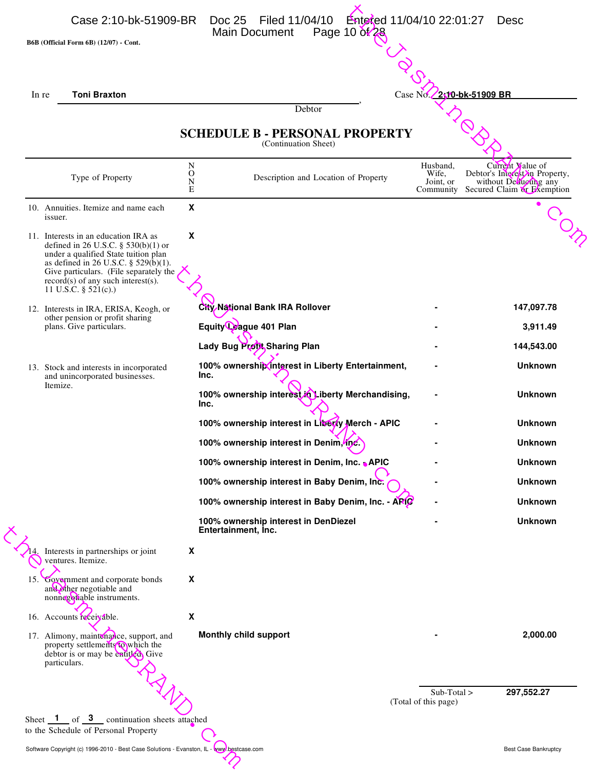|       | B6B (Official Form 6B) (12/07) - Cont.                                                                                                                                                                                                                                   |                  | Page 10 $\delta \sqrt{28}$<br><b>Main Document</b>            |                                             |                                                                                                            |
|-------|--------------------------------------------------------------------------------------------------------------------------------------------------------------------------------------------------------------------------------------------------------------------------|------------------|---------------------------------------------------------------|---------------------------------------------|------------------------------------------------------------------------------------------------------------|
| In re | <b>Toni Braxton</b>                                                                                                                                                                                                                                                      |                  |                                                               | Case $N\sigma$                              | 2:10-bk-51909 BR                                                                                           |
|       |                                                                                                                                                                                                                                                                          |                  | Debtor                                                        |                                             |                                                                                                            |
|       |                                                                                                                                                                                                                                                                          |                  | <b>SCHEDULE B - PERSONAL PROPERTY</b><br>(Continuation Sheet) |                                             |                                                                                                            |
|       | Type of Property                                                                                                                                                                                                                                                         | N<br>O<br>N<br>E | Description and Location of Property                          | Husband,<br>Wife,<br>Joint, or<br>Community | Current Walue of<br>Debtor's Interestion Property,<br>without Delivering any<br>Secured Claim or Exemption |
|       | 10. Annuities. Itemize and name each<br>issuer.                                                                                                                                                                                                                          | X                |                                                               |                                             |                                                                                                            |
|       | 11. Interests in an education IRA as<br>defined in 26 U.S.C. § 530(b)(1) or<br>under a qualified State tuition plan<br>as defined in 26 U.S.C. § $529(b)(1)$ .<br>Give particulars. (File separately the<br>$record(s)$ of any such interest(s).<br>11 U.S.C. § 521(c).) | X                |                                                               |                                             |                                                                                                            |
|       | 12. Interests in IRA, ERISA, Keogh, or<br>other pension or profit sharing                                                                                                                                                                                                |                  | City National Bank IRA Rollover                               |                                             | 147,097.78                                                                                                 |
|       | plans. Give particulars.                                                                                                                                                                                                                                                 |                  | Equity Coague 401 Plan                                        |                                             | 3,911.49                                                                                                   |
|       |                                                                                                                                                                                                                                                                          |                  | Lady Bug Profit, Sharing Plan                                 |                                             | 144,543.00                                                                                                 |
|       | 13. Stock and interests in incorporated<br>and unincorporated businesses.<br>Itemize.                                                                                                                                                                                    | Inc.             | 100% ownership interest in Liberty Entertainment,             |                                             | <b>Unknown</b>                                                                                             |
|       |                                                                                                                                                                                                                                                                          | Inc.             | 100% ownership interest in Liberty Merchandising,             |                                             | <b>Unknown</b>                                                                                             |
|       |                                                                                                                                                                                                                                                                          |                  | 100% ownership interest in Liberty Merch - APIC               |                                             | <b>Unknown</b>                                                                                             |
|       |                                                                                                                                                                                                                                                                          |                  | 100% ownership interest in Denim, line.                       |                                             | <b>Unknown</b>                                                                                             |
|       |                                                                                                                                                                                                                                                                          |                  | 100% ownership interest in Denim, Inc. APIC                   |                                             | <b>Unknown</b>                                                                                             |
|       |                                                                                                                                                                                                                                                                          |                  | 100% ownership interest in Baby Denim, Inc.                   |                                             | <b>Unknown</b>                                                                                             |
|       |                                                                                                                                                                                                                                                                          |                  | 100% ownership interest in Baby Denim, Inc. - ARIC            |                                             | <b>Unknown</b>                                                                                             |
|       |                                                                                                                                                                                                                                                                          |                  | 100% ownership interest in DenDiezel<br>Entertainment, Inc.   |                                             | <b>Unknown</b>                                                                                             |
|       | Interests in partnerships or joint<br>ventures. Itemize.                                                                                                                                                                                                                 | X                |                                                               |                                             |                                                                                                            |
|       | 15. Government and corporate bonds<br>and other negotiable and<br>nonnegotiable instruments.                                                                                                                                                                             | X                |                                                               |                                             |                                                                                                            |
|       | 16. Accounts receivable.                                                                                                                                                                                                                                                 | $\pmb{\chi}$     |                                                               |                                             |                                                                                                            |
|       | 17. Alimony, maintenance, support, and<br>property settlements to which the<br>debtor is or may be entitled. Give<br>particulars.                                                                                                                                        |                  | <b>Monthly child support</b>                                  |                                             | 2,000.00                                                                                                   |
|       |                                                                                                                                                                                                                                                                          |                  |                                                               | $Sub-Total$<br>(Total of this page)         | 297,552.27                                                                                                 |
|       | Sheet $\boxed{1}$ of $\boxed{3}$ continuation sheets attached<br>to the Schedule of Personal Property                                                                                                                                                                    |                  |                                                               |                                             |                                                                                                            |
|       | Software Copyright (c) 1996-2010 - Best Case Solutions - Evanston, IL - www.bestcase.com                                                                                                                                                                                 |                  |                                                               |                                             | <b>Best Case Bankruptcy</b>                                                                                |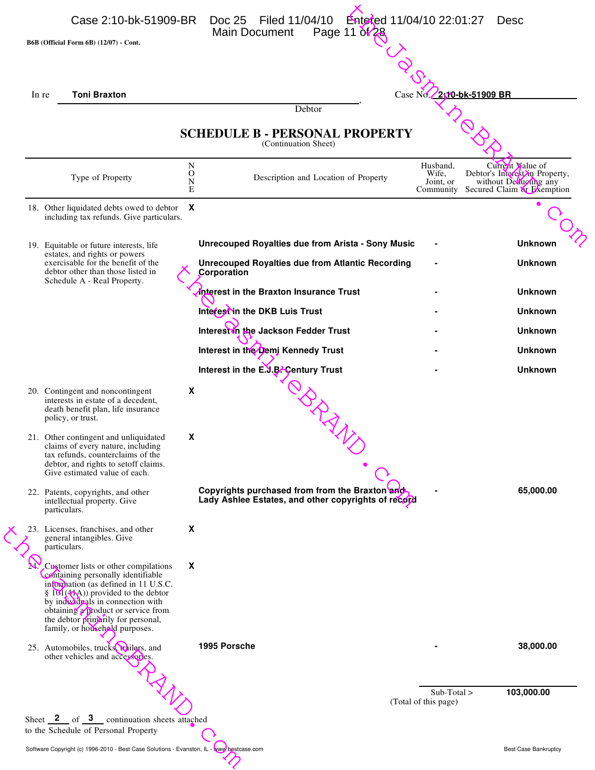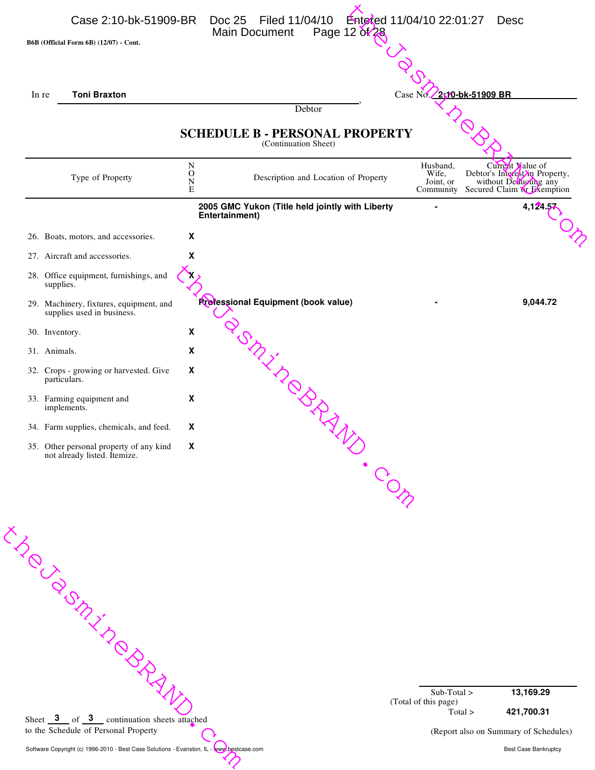

Sub-Total > (Total of this page) **3** of **3** continuation sheets attached **13,169.29**

**421,700.31**

(Report also on Summary of Schedules)

Solven Continuation Sheet Schedule of Personal Property<br>
Sheet 3 of 3 continuation sheets attached<br>
to the Schedule of Personal Property<br>
Software Copyright (c) 1996-2010 - Best Case Solutions - Evanston, IL - Were propert Software Copyright (c) 1996-2010 - Best Case Solutions - Evanston, IL - www.bestcase.com Best Case Bankruptcy

Sheet  $\frac{3}{\sqrt{2}}$  of  $\frac{3}{\sqrt{2}}$  continuation sheets attached

to the Schedule of Personal Property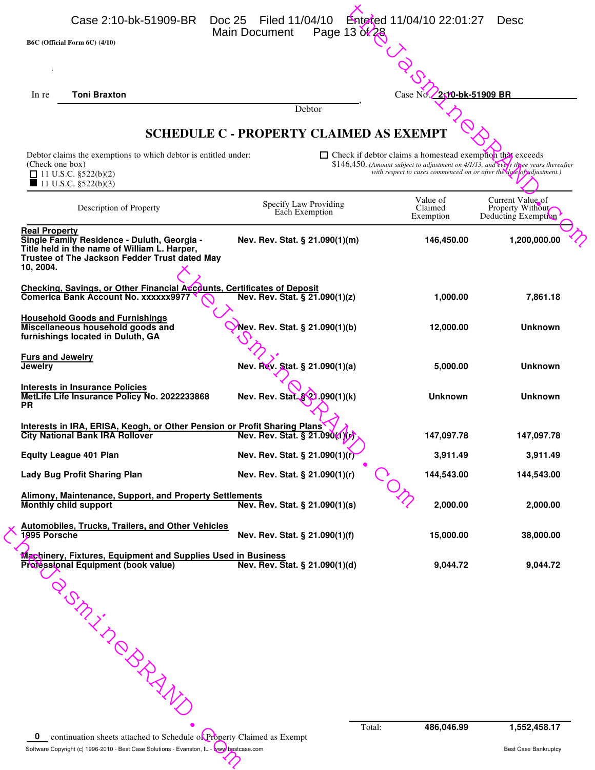| B6C (Official Form 6C) (4/10)                                                                                                                    | Page 13 $\delta \sqrt{28}$                     |                                                                                                                                                              |                                         |
|--------------------------------------------------------------------------------------------------------------------------------------------------|------------------------------------------------|--------------------------------------------------------------------------------------------------------------------------------------------------------------|-----------------------------------------|
|                                                                                                                                                  |                                                |                                                                                                                                                              |                                         |
|                                                                                                                                                  |                                                |                                                                                                                                                              |                                         |
| <b>Toni Braxton</b><br>In re                                                                                                                     |                                                | Case No.                                                                                                                                                     | 2.10-bk-51909 BR                        |
|                                                                                                                                                  | Debtor                                         |                                                                                                                                                              |                                         |
|                                                                                                                                                  | <b>SCHEDULE C - PROPERTY CLAIMED AS EXEMPT</b> |                                                                                                                                                              |                                         |
| Debtor claims the exemptions to which debtor is entitled under:                                                                                  |                                                | $\Box$ Check if debtor claims a homestead exemption that exceeds                                                                                             |                                         |
| (Check one box)<br>$\Box$ 11 U.S.C. §522(b)(2)                                                                                                   |                                                | \$146,450. (Amount subject to adjustment on 4/1/13, and every three years thereafter<br>with respect to cases commenced on or after the dote of adjustment.) |                                         |
| 11 U.S.C. $\S522(b)(3)$                                                                                                                          |                                                | Value of                                                                                                                                                     | Current Value of                        |
| Description of Property                                                                                                                          | Specify Law Providing<br>Each Exemption        | Claimed<br>Exemption                                                                                                                                         | Property Without<br>Deducting Exemption |
| <b>Real Property</b><br>Single Family Residence - Duluth, Georgia -                                                                              | Nev. Rev. Stat. § 21.090(1)(m)                 | 146,450.00                                                                                                                                                   | 1,200,000.00                            |
| Title held in the name of William L. Harper,<br>Trustee of The Jackson Fedder Trust dated May                                                    |                                                |                                                                                                                                                              |                                         |
| 10, 2004.                                                                                                                                        |                                                |                                                                                                                                                              |                                         |
| Checking, Savings, or Other Financial Accounts, Certificates of Deposit<br>Comerica Bank Account No. xxxxxx9977 \[\times\) Nev. Rev. Stat. § 21. |                                                |                                                                                                                                                              |                                         |
|                                                                                                                                                  | Nev. Rev. Stat. § 21.090(1)(z)                 | 1,000.00                                                                                                                                                     | 7,861.18                                |
| <b>Household Goods and Furnishings</b><br>Miscellaneous household goods and                                                                      | Nev. Rev. Stat. § 21.090(1)(b)                 | 12,000.00                                                                                                                                                    | <b>Unknown</b>                          |
| furnishings located in Duluth, GA                                                                                                                |                                                |                                                                                                                                                              |                                         |
| <b>Furs and Jewelry</b><br><b>Jewelry</b>                                                                                                        | Nev. Rev. Stat. § 21.090(1)(a)                 | 5,000.00                                                                                                                                                     | <b>Unknown</b>                          |
|                                                                                                                                                  |                                                |                                                                                                                                                              |                                         |
| <b>Interests in Insurance Policies</b><br>MetLife Life Insurance Policy No. 2022233868                                                           | Nev. Rev. Stat. 82.090(1)(k)                   | <b>Unknown</b>                                                                                                                                               | <b>Unknown</b>                          |
| <b>PR</b>                                                                                                                                        |                                                |                                                                                                                                                              |                                         |
| Interests in IRA, ERISA, Keogh, or Other Pension or Profit Sharing Plans<br><b>City National Bank IRA Rollover</b>                               | Nev. Rev. Stat. § 21.090(1)(r)                 | 147.097.78                                                                                                                                                   | 147,097.78                              |
| <b>Equity League 401 Plan</b>                                                                                                                    | Nev. Rev. Stat. § 21.090(1)(r)                 | 3,911.49                                                                                                                                                     | 3.911.49                                |
| Lady Bug Profit Sharing Plan                                                                                                                     | Nev. Rev. Stat. § 21.090(1)(r)                 | 144,543.00                                                                                                                                                   | 144,543.00                              |
| <b>Alimony, Maintenance, Support, and Property Settlements</b>                                                                                   |                                                |                                                                                                                                                              |                                         |
| <b>Monthly child support</b>                                                                                                                     | Nev. Rev. Stat. § 21.090(1)(s)                 | 2,000.00                                                                                                                                                     | 2,000.00                                |
| <b>Automobiles, Trucks, Trailers, and Other Vehicles</b><br>1995 Porsche                                                                         | Nev. Rev. Stat. § 21.090(1)(f)                 | 15,000.00                                                                                                                                                    | 38,000.00                               |
|                                                                                                                                                  |                                                |                                                                                                                                                              |                                         |
| Machinery, Fixtures, Equipment and Supplies Used in Business<br>Professional Equipment (book value)                                              | Nev. Rev. Stat. § 21.090(1)(d)                 | 9,044.72                                                                                                                                                     | 9,044.72                                |
|                                                                                                                                                  |                                                |                                                                                                                                                              |                                         |
|                                                                                                                                                  |                                                |                                                                                                                                                              |                                         |
|                                                                                                                                                  |                                                |                                                                                                                                                              |                                         |
|                                                                                                                                                  |                                                |                                                                                                                                                              |                                         |
|                                                                                                                                                  |                                                |                                                                                                                                                              |                                         |
|                                                                                                                                                  |                                                |                                                                                                                                                              |                                         |
| POSTALL PORTLAND                                                                                                                                 |                                                |                                                                                                                                                              |                                         |
|                                                                                                                                                  |                                                |                                                                                                                                                              |                                         |
|                                                                                                                                                  |                                                |                                                                                                                                                              |                                         |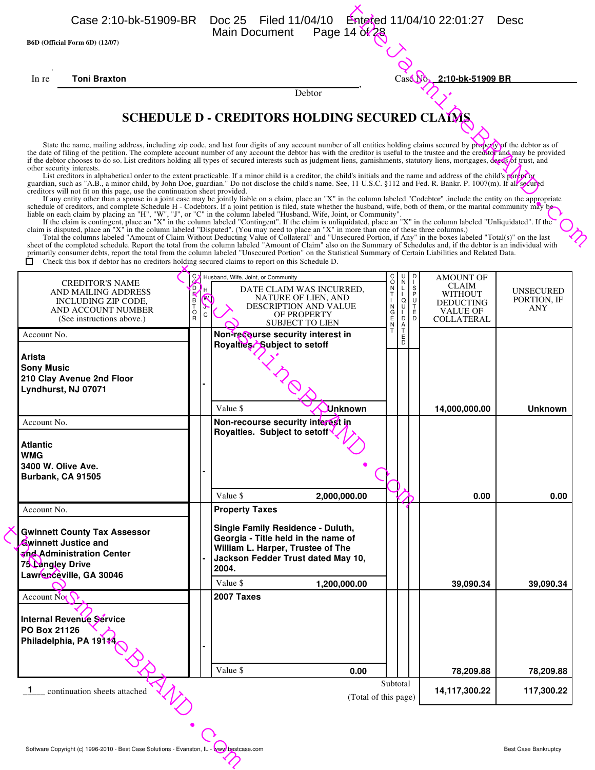Gwinnett County Tax Assessor<br>
Single<br>
Singley Drive<br>
Tax Administration Center<br>
Tax Administration Center<br>
Tax Administration Center<br>
Tax Administration Center<br>
Mackson<br>
Jackson<br>
Account Northern Revenue Service<br>
PO Box 21 Enterted 11/04/10 22:01:27 Desc<br>
14 of 28<br>  $\bullet$  Case  $\bullet$  Case  $\bullet$  2:10-bk-51909 BR<br>  $\bullet$  Case  $\bullet$  2:10-bk-51909 BR<br>  $\bullet$  Case  $\bullet$  2:10-bk-51909 BR<br>  $\bullet$  Case  $\bullet$  Case  $\bullet$  Case  $\bullet$  Case  $\bullet$  Case  $\bullet$  Case  $\bullet$  Case Thusband, Wie, Joint, or Community<br>
DATE CLAIM WAS INCURRED,<br>
BRAND DESCRIPTION AND VALUE<br>
SUBJECT TO LIEN<br>
NON-TeQuires security interest in<br>
Royalties, Subject to set<br>
The Subject to set of<br>
The Subject to set of<br>
The Su AMOUNT OF CLAIM WITHOUT DEDUCTING VALUE OF COLLATERAL DATE CLAIM WAS INCURRED, NATURE OF LIEN, AND DESCRIPTION AND VALUE OF PROPERTY SUBJECT TO LIEN C O D E B T O R C O N T I N G E N T U N L I QU I D A T E D D I S P U T E D Husband, Wife, Joint, or Community H W J C CREDITOR'S NAME AND MAILING ADDRESS INCLUDING ZIP CODE, AND ACCOUNT NUMBER (See instructions above.) Account No. Value \$ Account No. Value \$ Account No. Value \$ Account No. Value \$ Subtotal  $\overline{\phantom{a}}$  continuation sheets attached  $\overline{\phantom{a}}$  (Total of this page) **UNSECURED** PORTION, IF ANY **B6D (Official Form 6D) (12/07)** State the name, mailing address, including zip code, and last four digits of any account number of all entities holding claims secured by property of the debtor as of the date of filing of the petition. The complete account number of any account the debtor has with the creditor is useful to the trustee and the creditor and may be provided if the debtor chooses to do so. List creditors holding all types of secured interests such as judgment liens, garnishments, statutory liens, mortgages, deeds of trust, and other security interests. List creditors in alphabetical order to the extent practicable. If a minor child is a creditor, the child's initials and the name and address of the child's parent or guardian, such as "A.B., a minor child, by John Doe, gu creditors will not fit on this page, use the continuation sheet provided.<br>If any entity other than a spouse in a joint case may be jointly liable on a claim, place an "X" in the column labeled "Codebtor" ,include the entit schedule of creditors, and complete Schedule H - Codebtors. If a joint petition is filed, state whether the husband, wife, both of them, or the marital community may be<br>liable on each claim by placing an "H", "W", "J", or primarily consumer debts, report the total from the column labeled "Unsecured Portion" on the Statistical Summary of Certain Liabilities and Related Data.<br>  $\Box$  Check this box if debtor has no creditors holding secured cl Check this box if debtor has no creditors holding secured claims to report on this Schedule D. **SCHEDULE D - CREDITORS HOLDING SECURED CLAIMS** In re , Debtor **Toni Braxton** Case No. **2:10-bk-51909 BR 1 Non-recourse security interest in Royalties. Subject to setoff Arista Sony Music 210 Clay Avenue 2nd Floor Lyndhurst, NJ <sup>07071</sup> - Unknown 14,000,000.00 Unknown Non-recourse security interest in Royalties. Subject to setoff Atlantic WMG 3400 W. Olive Ave. Burbank, CA <sup>91505</sup> - 2,000,000.00 0.00 0.00 Property Taxes Single Family Residence - Duluth, Georgia - Title held in the name of William L. Harper, Trustee of The Jackson Fedder Trust dated May 10, 2004. Gwinnett County Tax Assessor Gwinnett Justice and and Administration Center 75 Langley Drive Lawrenceville, GA 30046 - 1,200,000.00 39,090.34 39,090.34 2007 Taxes Internal Revenue Service PO Box 21126 Philadelphia, PA 19114 - 0.00 78,209.88 78,209.88 14,117,300.22 117,300.22** Case 2:10-bk-51909-BR Doc 25 Filed 11/04/10 Entered 11/04/10 22:01:27 Desc<br>Main Document Page 14 of 28 Main Document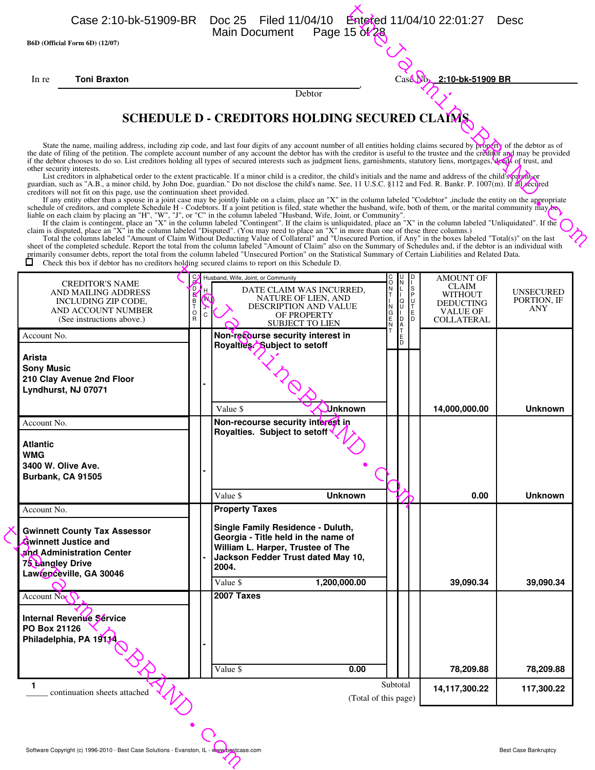|                                    | B6D (Official Form 6D) (12/07)                                            |                              |              |                                                                                                                                                                                                                                                                                                                                                                                                            |        |                         |                                     |                                 |
|------------------------------------|---------------------------------------------------------------------------|------------------------------|--------------|------------------------------------------------------------------------------------------------------------------------------------------------------------------------------------------------------------------------------------------------------------------------------------------------------------------------------------------------------------------------------------------------------------|--------|-------------------------|-------------------------------------|---------------------------------|
| In re                              | <b>Toni Braxton</b>                                                       |                              |              |                                                                                                                                                                                                                                                                                                                                                                                                            |        |                         | Case No. 2:10-bk-51909 BR           |                                 |
|                                    |                                                                           |                              |              | Debtor                                                                                                                                                                                                                                                                                                                                                                                                     |        |                         |                                     |                                 |
|                                    |                                                                           |                              |              | <b>SCHEDULE D - CREDITORS HOLDING SECURED CLAIMS</b>                                                                                                                                                                                                                                                                                                                                                       |        |                         |                                     |                                 |
|                                    |                                                                           |                              |              |                                                                                                                                                                                                                                                                                                                                                                                                            |        |                         |                                     |                                 |
|                                    |                                                                           |                              |              | State the name, mailing address, including zip code, and last four digits of any account number of all entities holding claims secured by property of the debtor as of<br>the date of filing of the petition. The complete account number of any account the debtor has with the creditor is useful to the trustee and the creditor and may be provided                                                    |        |                         |                                     |                                 |
|                                    | other security interests.                                                 |                              |              | if the debtor chooses to do so. List creditors holding all types of secured interests such as judgment liens, garnishments, statutory liens, mortgages, decols of trust, and<br>List creditors in alphabetical order to the extent practicable. If a minor child is a creditor, the child's initials and the name and address of the child's parenticable.                                                 |        |                         |                                     |                                 |
|                                    | creditors will not fit on this page, use the continuation sheet provided. |                              |              | guardian, such as "A.B., a minor child, by John Doe, guardian." Do not disclose the child's name. See, 11 U.S.C. §112 and Fed. R. Bankr. P. 1007(m). If all secured                                                                                                                                                                                                                                        |        |                         |                                     |                                 |
|                                    |                                                                           |                              |              | If any entity other than a spouse in a joint case may be jointly liable on a claim, place an "X" in the column labeled "Codebtor" , include the entity on the appropriate<br>schedule of creditors, and complete Schedule H - Codebtors. If a joint petition is filed, state whether the husband, wife, both of them, or the marital community may be                                                      |        |                         |                                     |                                 |
|                                    |                                                                           |                              |              | liable on each claim by placing an "H", "W", "J", or "C" in the column labeled "Husband, Wife, Joint, or Community".<br>If the claim is contingent, place an "X" in the column labeled "Contingent". If the claim is unliquidated                                                                                                                                                                          |        |                         |                                     |                                 |
|                                    |                                                                           |                              |              | The column is disputed, place an "X" in the column abeled "Disputed". (You may need to place an "X" in more than one of these three columns.)<br>Total the columns labeled "Amount of Claim Without Deducting Value of Collateral<br>sheet of the completed schedule. Report the total from the column labeled "Amount of Claim" also on the Summary of Schedules and, if the debtor is an individual with |        |                         |                                     |                                 |
| □                                  |                                                                           |                              |              | primarily consumer debts, report the total from the column labeled "Unsecured Portion" on the Statistical Summary of Certain Liabilities and Related Data.<br>Check this box if debtor has no creditors holding secured claims to report on this Schedule D.                                                                                                                                               |        |                         |                                     |                                 |
|                                    |                                                                           | g                            |              | Husband, Wife, Joint, or Community                                                                                                                                                                                                                                                                                                                                                                         |        | IU.<br>N                | <b>AMOUNT OF</b>                    |                                 |
|                                    | <b>CREDITOR'S NAME</b><br>AND MAILING ADDRESS                             | D<br>R                       | H.<br>M)     | DATE CLAIM WAS INCURRED,<br>NATURE OF LIEN, AND                                                                                                                                                                                                                                                                                                                                                            | $-720$ | 旧                       | CLAIM<br><b>WITHOUT</b>             | <b>UNSECURED</b><br>PORTION, IF |
|                                    | <b>INCLUDING ZIP CODE,</b><br>AND ACCOUNT NUMBER                          | В<br>Т<br>$_{\rm R}^{\rm O}$ | $\mathsf{C}$ | DESCRIPTION AND VALUE<br>OF PROPERTY                                                                                                                                                                                                                                                                                                                                                                       |        | $_{\rm U}^{\rm Q}$<br>D | <b>DEDUCTING</b><br><b>VALUE OF</b> | <b>ANY</b>                      |
| Account No.                        | (See instructions above.)                                                 |                              |              | <b>SUBJECT TO LIEN</b><br>Non-recourse security interest in                                                                                                                                                                                                                                                                                                                                                |        | A<br>T<br>E<br>D        | <b>COLLATERAL</b>                   |                                 |
|                                    |                                                                           |                              |              | Royalties. Subject to setoff                                                                                                                                                                                                                                                                                                                                                                               |        |                         |                                     |                                 |
| <b>Arista</b><br><b>Sony Music</b> |                                                                           |                              |              |                                                                                                                                                                                                                                                                                                                                                                                                            |        |                         |                                     |                                 |
|                                    | 210 Clay Avenue 2nd Floor                                                 |                              |              |                                                                                                                                                                                                                                                                                                                                                                                                            |        |                         |                                     |                                 |
|                                    | Lyndhurst, NJ 07071                                                       |                              |              |                                                                                                                                                                                                                                                                                                                                                                                                            |        |                         |                                     |                                 |
| Account No.                        |                                                                           |                              |              | <b>Unknown</b><br>Value \$<br>Non-recourse security interest in                                                                                                                                                                                                                                                                                                                                            |        |                         | 14,000,000.00                       | <b>Unknown</b>                  |
|                                    |                                                                           |                              |              | Royalties. Subject to setoff                                                                                                                                                                                                                                                                                                                                                                               |        |                         |                                     |                                 |
| <b>Atlantic</b><br><b>WMG</b>      |                                                                           |                              |              |                                                                                                                                                                                                                                                                                                                                                                                                            |        |                         |                                     |                                 |
|                                    | 3400 W. Olive Ave.<br>Burbank, CA 91505                                   |                              |              |                                                                                                                                                                                                                                                                                                                                                                                                            |        |                         |                                     |                                 |
|                                    |                                                                           |                              |              | <b>Unknown</b><br>Value \$                                                                                                                                                                                                                                                                                                                                                                                 |        |                         | 0.00                                | <b>Unknown</b>                  |
| Account No.                        |                                                                           |                              |              | <b>Property Taxes</b>                                                                                                                                                                                                                                                                                                                                                                                      |        |                         |                                     |                                 |
|                                    | <b>Gwinnett County Tax Assessor</b>                                       |                              |              | Single Family Residence - Duluth,                                                                                                                                                                                                                                                                                                                                                                          |        |                         |                                     |                                 |
|                                    | Gwinnett Justice and                                                      |                              |              | Georgia - Title held in the name of<br>William L. Harper, Trustee of The                                                                                                                                                                                                                                                                                                                                   |        |                         |                                     |                                 |
| 75 Langley Drive                   | and Administration Center                                                 |                              |              | Jackson Fedder Trust dated May 10,<br>2004.                                                                                                                                                                                                                                                                                                                                                                |        |                         |                                     |                                 |
|                                    | Lawrenceville, GA 30046                                                   |                              |              | Value \$<br>1,200,000.00                                                                                                                                                                                                                                                                                                                                                                                   |        |                         | 39,090.34                           | 39,090.34                       |
| Account No.                        |                                                                           |                              |              | 2007 Taxes                                                                                                                                                                                                                                                                                                                                                                                                 |        |                         |                                     |                                 |
|                                    | Internal Revenue Service                                                  |                              |              |                                                                                                                                                                                                                                                                                                                                                                                                            |        |                         |                                     |                                 |
| PO Box 21126                       |                                                                           |                              |              |                                                                                                                                                                                                                                                                                                                                                                                                            |        |                         |                                     |                                 |
|                                    | Philadelphia, PA 1911                                                     |                              |              |                                                                                                                                                                                                                                                                                                                                                                                                            |        |                         |                                     |                                 |
|                                    |                                                                           |                              |              | Value \$<br>0.00                                                                                                                                                                                                                                                                                                                                                                                           |        |                         | 78,209.88                           | 78,209.88                       |
| 1                                  | continuation sheets attached                                              |                              |              |                                                                                                                                                                                                                                                                                                                                                                                                            |        | Subtotal                | 14,117,300.22                       | 117,300.22                      |
|                                    |                                                                           |                              |              | (Total of this page)                                                                                                                                                                                                                                                                                                                                                                                       |        |                         |                                     |                                 |
|                                    |                                                                           |                              |              |                                                                                                                                                                                                                                                                                                                                                                                                            |        |                         |                                     |                                 |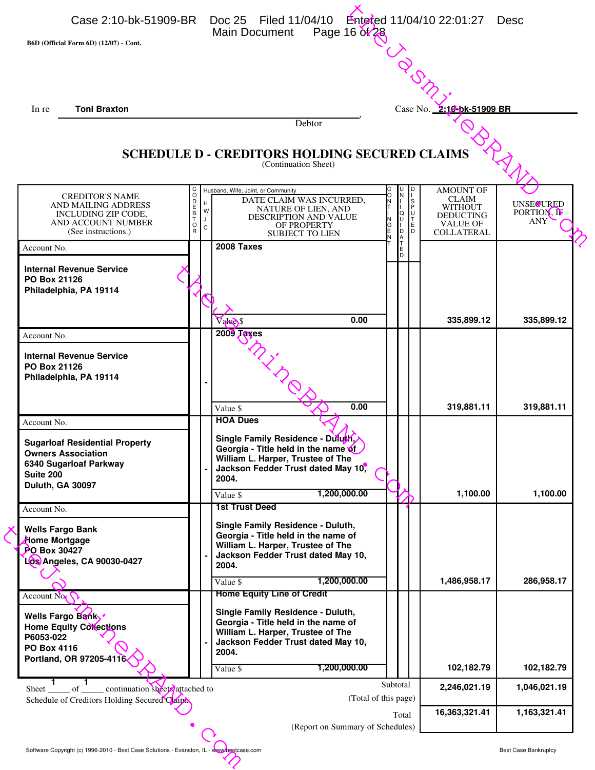| B6D (Official Form 6D) (12/07) - Cont.                         |                    |         | Page 16 01/28<br>Main Document                                           |          |                            |              |                                    |                                 |
|----------------------------------------------------------------|--------------------|---------|--------------------------------------------------------------------------|----------|----------------------------|--------------|------------------------------------|---------------------------------|
|                                                                |                    |         |                                                                          |          |                            |              |                                    |                                 |
|                                                                |                    |         |                                                                          |          |                            |              |                                    |                                 |
| <b>Toni Braxton</b><br>In re                                   |                    |         |                                                                          |          |                            |              | Case No. 2:10-bk-51909 BR          |                                 |
|                                                                |                    |         | Debtor                                                                   |          |                            |              |                                    |                                 |
|                                                                |                    |         |                                                                          |          |                            |              |                                    |                                 |
|                                                                |                    |         | <b>SCHEDULE D - CREDITORS HOLDING SECURED CLAIMS</b>                     |          |                            |              |                                    |                                 |
|                                                                |                    |         | (Continuation Sheet)                                                     |          |                            |              |                                    |                                 |
| <b>CREDITOR'S NAME</b>                                         |                    |         | Husband, Wife, Joint, or Community<br>DATE CLAIM WAS INCURRED,           |          | N                          |              | <b>AMOUNT OF</b><br>CLAIM          |                                 |
| <b>AND MAILING ADDRESS</b><br>INCLUDING ZIP CODE,              | CODE<br>T          | H.<br>W | NATURE OF LIEN, AND                                                      |          |                            | S<br>P       | <b>WITHOUT</b><br><b>DEDUCTING</b> | <b>UNSECURED</b><br>PORTION, ID |
| AND ACCOUNT NUMBER                                             | $_{\rm R}^{\rm O}$ | C       | DESCRIPTION AND VALUE<br>OF PROPERTY                                     |          | Q<br>U                     | ¦¥<br>l<br>D | <b>VALUE OF</b>                    | <b>ANY</b>                      |
| (See instructions.)                                            |                    |         | <b>SUBJECT TO LIEN</b>                                                   |          | D<br>A<br>T<br>E<br>D<br>D |              | <b>COLLATERAL</b>                  |                                 |
| Account No.                                                    |                    |         | 2008 Taxes                                                               |          |                            |              |                                    |                                 |
| <b>Internal Revenue Service</b>                                |                    |         |                                                                          |          |                            |              |                                    |                                 |
| PO Box 21126<br>Philadelphia, PA 19114                         |                    |         |                                                                          |          |                            |              |                                    |                                 |
|                                                                |                    |         |                                                                          |          |                            |              |                                    |                                 |
|                                                                |                    |         | 0.00<br>Value \$                                                         |          |                            |              | 335,899.12                         | 335,899.12                      |
| Account No.                                                    |                    |         | 2009 Taxes                                                               |          |                            |              |                                    |                                 |
|                                                                |                    |         |                                                                          |          |                            |              |                                    |                                 |
| <b>Internal Revenue Service</b><br>PO Box 21126                |                    |         |                                                                          |          |                            |              |                                    |                                 |
| Philadelphia, PA 19114                                         |                    |         |                                                                          |          |                            |              |                                    |                                 |
|                                                                |                    |         |                                                                          |          |                            |              |                                    |                                 |
|                                                                |                    |         | 0.00<br>Value \$                                                         |          |                            |              | 319,881.11                         | 319,881.11                      |
| Account No.                                                    |                    |         | <b>HOA Dues</b>                                                          |          |                            |              |                                    |                                 |
| <b>Sugarloaf Residential Property</b>                          |                    |         | Single Family Residence - Duluth,                                        |          |                            |              |                                    |                                 |
| <b>Owners Association</b>                                      |                    |         | Georgia - Title held in the name of<br>William L. Harper, Trustee of The |          |                            |              |                                    |                                 |
| 6340 Sugarloaf Parkway<br>Suite 200                            |                    |         | Jackson Fedder Trust dated May 10,                                       |          |                            |              |                                    |                                 |
| Duluth, GA 30097                                               |                    |         | 2004.                                                                    |          |                            |              |                                    |                                 |
|                                                                |                    |         | 1,200,000.00<br>Value \$<br><b>1st Trust Deed</b>                        |          |                            |              | 1,100.00                           | 1,100.00                        |
| Account No.                                                    |                    |         |                                                                          |          |                            |              |                                    |                                 |
| <b>Wells Fargo Bank</b>                                        |                    |         | Single Family Residence - Duluth,<br>Georgia - Title held in the name of |          |                            |              |                                    |                                 |
| <b>Home Mortgage</b><br><b>PO Box 30427</b>                    |                    |         | William L. Harper, Trustee of The<br>Jackson Fedder Trust dated May 10,  |          |                            |              |                                    |                                 |
| Los Angeles, CA 90030-0427                                     |                    |         | 2004.                                                                    |          |                            |              |                                    |                                 |
|                                                                |                    |         | 1,200,000.00<br>Value \$                                                 |          |                            |              | 1,486,958.17                       | 286,958.17                      |
| Account No.                                                    |                    |         | <b>Home Equity Line of Credit</b>                                        |          |                            |              |                                    |                                 |
| Wells Fargo Banky                                              |                    |         | Single Family Residence - Duluth,                                        |          |                            |              |                                    |                                 |
| <b>Home Equity Collections</b>                                 |                    |         | Georgia - Title held in the name of                                      |          |                            |              |                                    |                                 |
| P6053-022                                                      |                    |         | William L. Harper, Trustee of The<br>Jackson Fedder Trust dated May 10,  |          |                            |              |                                    |                                 |
| PO Box 4116<br>Portland, OR 97205-4116                         |                    |         | 2004.                                                                    |          |                            |              |                                    |                                 |
|                                                                |                    |         | 1,200,000.00<br>Value \$                                                 |          |                            |              | 102,182.79                         | 102,182.79                      |
| __ continuation sheets attached to<br>$_{\circ}$ of $_{\circ}$ |                    |         |                                                                          | Subtotal |                            |              | 2,246,021.19                       | 1,046,021.19                    |
| Schedule of Creditors Holding Secured Claims                   |                    |         | (Total of this page)                                                     |          |                            |              |                                    |                                 |
|                                                                |                    |         |                                                                          |          | Total                      |              | 16,363,321.41                      | 1,163,321.41                    |
|                                                                |                    |         | (Report on Summary of Schedules)                                         |          |                            |              |                                    |                                 |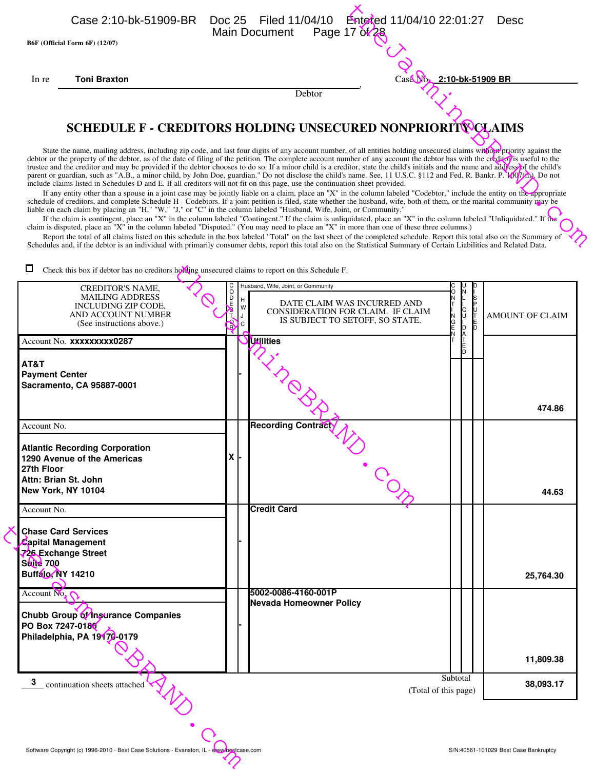|                                            | B6F (Official Form 6F) (12/07)                                                                                                                                                                                                                                                                         |         |                  | Page 17 01/28                                                                                                                                                                                                                                                                                                                                                                                                                                                                                                                                                                                                                                                                                                                                                                                                                                                                                                                                                                                                                                                                                                                                                                                                                                                                                                                                                                                                                                                                                                                                                                                                                                                                                                                                                                                                                                                                                                                                                                                                                                                                                                                                                                                                                                        |                                               |                    |                        |
|--------------------------------------------|--------------------------------------------------------------------------------------------------------------------------------------------------------------------------------------------------------------------------------------------------------------------------------------------------------|---------|------------------|------------------------------------------------------------------------------------------------------------------------------------------------------------------------------------------------------------------------------------------------------------------------------------------------------------------------------------------------------------------------------------------------------------------------------------------------------------------------------------------------------------------------------------------------------------------------------------------------------------------------------------------------------------------------------------------------------------------------------------------------------------------------------------------------------------------------------------------------------------------------------------------------------------------------------------------------------------------------------------------------------------------------------------------------------------------------------------------------------------------------------------------------------------------------------------------------------------------------------------------------------------------------------------------------------------------------------------------------------------------------------------------------------------------------------------------------------------------------------------------------------------------------------------------------------------------------------------------------------------------------------------------------------------------------------------------------------------------------------------------------------------------------------------------------------------------------------------------------------------------------------------------------------------------------------------------------------------------------------------------------------------------------------------------------------------------------------------------------------------------------------------------------------------------------------------------------------------------------------------------------------|-----------------------------------------------|--------------------|------------------------|
| In re                                      | <b>Toni Braxton</b>                                                                                                                                                                                                                                                                                    |         |                  | Case No. 2:10-bk-51909 BR                                                                                                                                                                                                                                                                                                                                                                                                                                                                                                                                                                                                                                                                                                                                                                                                                                                                                                                                                                                                                                                                                                                                                                                                                                                                                                                                                                                                                                                                                                                                                                                                                                                                                                                                                                                                                                                                                                                                                                                                                                                                                                                                                                                                                            |                                               |                    |                        |
|                                            |                                                                                                                                                                                                                                                                                                        |         |                  | Debtor                                                                                                                                                                                                                                                                                                                                                                                                                                                                                                                                                                                                                                                                                                                                                                                                                                                                                                                                                                                                                                                                                                                                                                                                                                                                                                                                                                                                                                                                                                                                                                                                                                                                                                                                                                                                                                                                                                                                                                                                                                                                                                                                                                                                                                               |                                               |                    |                        |
| □<br>AT&T<br><b>Payment Center</b>         | Check this box if debtor has no creditors holding unsecured claims to report on this Schedule F.<br><b>CREDITOR'S NAME,</b><br><b>MAILING ADDRESS</b><br><b>INCLUDING ZIP CODE,</b><br>AND ACCOUNT NUMBER<br>(See instructions above.)<br>Account No. <b>XXXXXXXX0287</b><br>Sacramento, CA 95887-0001 | oo<br>D | Н<br>W<br>J<br>Ċ | <b>SCHEDULE F - CREDITORS HOLDING UNSECURED NONPRIORIT VOLAIMS</b><br>State the name, mailing address, including zip code, and last four digits of any account number, of all entities holding unsecured claims without priority against the<br>debtor or the property of the debtor, as of the date of filing of the petition. The complete account number of any account the debtor has with the creditor is useful to the<br>trustee and the creditor and may be provided if the debtor chooses to do so. If a minor child is a creditor, state the child's initials and the name and addess bot the child's<br>parent or guardian, such as "A.B., a minor child, by John Doe, guardian." Do not disclose the child's name. See, 11 U.S.C. §112 and Fed. R. Bankr. P. 160/(m). Do not<br>include claims listed in Schedules D and E. If all creditors will not fit on this page, use the continuation sheet provided.<br>If any entity other than a spouse in a joint case may be jointly liable on a claim, place an "X" in the column labeled "Codebtor," include the entity on the appropriate<br>schedule of creditors, and complete Schedule H - Codebtors. If a joint petition is filed, state whether the husband, wife, both of them, or the marital community may be<br>liable on each claim by placing an "H," "W," "J," or "C" in the column labeled "Husband, Wife, Joint, or Community."<br>If the claim is contingent, place an "X" in the column labeled "Contingent." If the claim is unliquidated, place an "X" in the column labeled "Unliquidated." If the<br>claim is disputed, place an "X" in the column labeled "Disputed." (You may need to place an "X" in more than one of these three columns.)<br>Report the total of all claims listed on this schedule in the box labeled "Total" on the last sheet of the completed schedule. Report this total also on the Summary of<br>Schedules and, if the debtor is an individual with primarily consumer debts, report this total also on the Statistical Summary of Certain Liabilities and Related Data.<br>Husband, Wife, Joint, or Community<br>DATE CLAIM WAS INCURRED AND<br>CONSIDERATION FOR CLAIM. IF CLAIM<br>IS SUBJECT TO SETOFF, SO STATE.<br><u>Uu</u> lities | c<br>O<br>$\frac{N}{T}$<br>$\overline{z}$ moz | ΟJ<br>ID<br>E<br>D | <b>AMOUNT OF CLAIM</b> |
|                                            |                                                                                                                                                                                                                                                                                                        |         |                  |                                                                                                                                                                                                                                                                                                                                                                                                                                                                                                                                                                                                                                                                                                                                                                                                                                                                                                                                                                                                                                                                                                                                                                                                                                                                                                                                                                                                                                                                                                                                                                                                                                                                                                                                                                                                                                                                                                                                                                                                                                                                                                                                                                                                                                                      |                                               |                    | 474.86                 |
| Account No.<br>27th Floor                  | <b>Atlantic Recording Corporation</b><br>1290 Avenue of the Americas<br>Attn: Brian St. John<br>New York, NY 10104                                                                                                                                                                                     | X       |                  | Recording Contract                                                                                                                                                                                                                                                                                                                                                                                                                                                                                                                                                                                                                                                                                                                                                                                                                                                                                                                                                                                                                                                                                                                                                                                                                                                                                                                                                                                                                                                                                                                                                                                                                                                                                                                                                                                                                                                                                                                                                                                                                                                                                                                                                                                                                                   |                                               |                    | 44.63                  |
| Account No.                                |                                                                                                                                                                                                                                                                                                        |         |                  | <b>Credit Card</b>                                                                                                                                                                                                                                                                                                                                                                                                                                                                                                                                                                                                                                                                                                                                                                                                                                                                                                                                                                                                                                                                                                                                                                                                                                                                                                                                                                                                                                                                                                                                                                                                                                                                                                                                                                                                                                                                                                                                                                                                                                                                                                                                                                                                                                   |                                               |                    |                        |
| <b>SWN 700</b><br><b>Buffalo, NY 14210</b> | <b>Chase Card Services</b><br>Capital Management<br><b>726</b> Exchange Street                                                                                                                                                                                                                         |         |                  |                                                                                                                                                                                                                                                                                                                                                                                                                                                                                                                                                                                                                                                                                                                                                                                                                                                                                                                                                                                                                                                                                                                                                                                                                                                                                                                                                                                                                                                                                                                                                                                                                                                                                                                                                                                                                                                                                                                                                                                                                                                                                                                                                                                                                                                      |                                               |                    | 25,764.30              |
| Account No.                                | Chubb Group of Insurance Companies<br>PO Box 7247-0180<br>Philadelphia, PA 19170-0179                                                                                                                                                                                                                  |         |                  | 5002-0086-4160-001P<br>Nevada Homeowner Policy                                                                                                                                                                                                                                                                                                                                                                                                                                                                                                                                                                                                                                                                                                                                                                                                                                                                                                                                                                                                                                                                                                                                                                                                                                                                                                                                                                                                                                                                                                                                                                                                                                                                                                                                                                                                                                                                                                                                                                                                                                                                                                                                                                                                       |                                               |                    |                        |
|                                            |                                                                                                                                                                                                                                                                                                        |         |                  |                                                                                                                                                                                                                                                                                                                                                                                                                                                                                                                                                                                                                                                                                                                                                                                                                                                                                                                                                                                                                                                                                                                                                                                                                                                                                                                                                                                                                                                                                                                                                                                                                                                                                                                                                                                                                                                                                                                                                                                                                                                                                                                                                                                                                                                      |                                               |                    | 11,809.38              |
| 3                                          | continuation sheets attached                                                                                                                                                                                                                                                                           |         |                  | (Total of this page)                                                                                                                                                                                                                                                                                                                                                                                                                                                                                                                                                                                                                                                                                                                                                                                                                                                                                                                                                                                                                                                                                                                                                                                                                                                                                                                                                                                                                                                                                                                                                                                                                                                                                                                                                                                                                                                                                                                                                                                                                                                                                                                                                                                                                                 | Subtotal                                      |                    | 38,093.17              |
|                                            |                                                                                                                                                                                                                                                                                                        |         |                  |                                                                                                                                                                                                                                                                                                                                                                                                                                                                                                                                                                                                                                                                                                                                                                                                                                                                                                                                                                                                                                                                                                                                                                                                                                                                                                                                                                                                                                                                                                                                                                                                                                                                                                                                                                                                                                                                                                                                                                                                                                                                                                                                                                                                                                                      |                                               |                    |                        |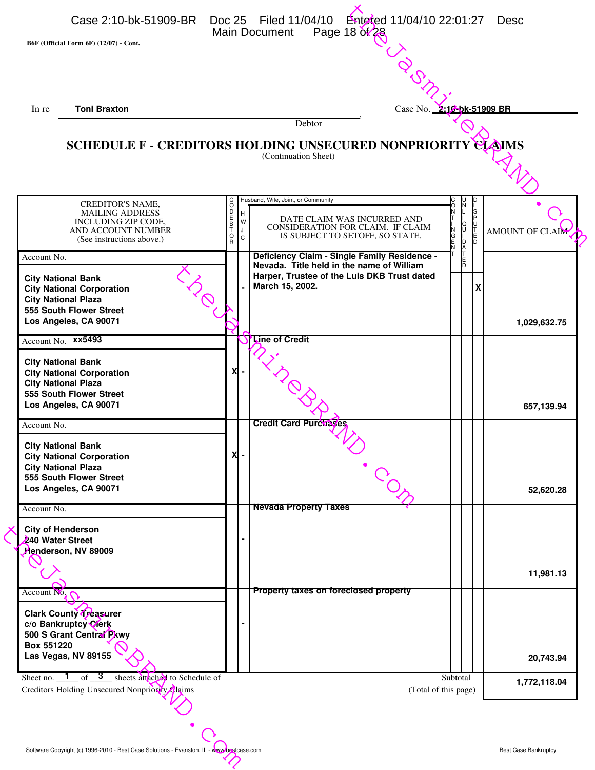| B6F (Official Form 6F) (12/07) - Cont.                                                                                                          |                                        |                  |                                                                                                             |                  |                       |        |                 |
|-------------------------------------------------------------------------------------------------------------------------------------------------|----------------------------------------|------------------|-------------------------------------------------------------------------------------------------------------|------------------|-----------------------|--------|-----------------|
|                                                                                                                                                 |                                        |                  |                                                                                                             |                  |                       |        |                 |
| <b>Toni Braxton</b><br>In re                                                                                                                    |                                        |                  | Case No. 2:10-bk-51909 BR<br>Debtor                                                                         |                  |                       |        |                 |
|                                                                                                                                                 |                                        |                  | SCHEDULE F - CREDITORS HOLDING UNSECURED NONPRIORITY CLAIMS<br>(Continuation Sheet)                         |                  |                       |        |                 |
| <b>CREDITOR'S NAME,</b>                                                                                                                         | $\rm ^c_{\rm O}$                       |                  | Husband, Wife, Joint, or Community                                                                          |                  |                       |        |                 |
| <b>MAILING ADDRESS</b><br>INCLUDING ZIP CODE,<br>AND ACCOUNT NUMBER<br>(See instructions above.)                                                | D<br>E<br>B<br>T<br>$_{\rm R}^{\rm O}$ | H<br>W<br>J<br>C | DATE CLAIM WAS INCURRED AND<br>CONSIDERATION FOR CLAIM. IF CLAIM<br>IS SUBJECT TO SETOFF, SO STATE.         | N<br>G<br>E<br>N | Ű                     | E<br>D | AMOUNT OF CLAIM |
| Account No.                                                                                                                                     |                                        |                  | Deficiency Claim - Single Family Residence -                                                                |                  | D<br>A<br>T<br>E<br>D |        |                 |
| <b>City National Bank</b><br><b>City National Corporation</b><br><b>City National Plaza</b><br>555 South Flower Street                          |                                        |                  | Nevada. Title held in the name of William<br>Harper, Trustee of the Luis DKB Trust dated<br>March 15, 2002. |                  |                       | X      |                 |
| Los Angeles, CA 90071                                                                                                                           |                                        |                  |                                                                                                             |                  |                       |        | 1,029,632.75    |
| Account No. XX5493                                                                                                                              |                                        |                  | Line of Credit                                                                                              |                  |                       |        |                 |
| <b>City National Bank</b><br><b>City National Corporation</b><br><b>City National Plaza</b><br>555 South Flower Street<br>Los Angeles, CA 90071 | X                                      |                  |                                                                                                             |                  |                       |        | 657,139.94      |
| Account No.                                                                                                                                     |                                        |                  | <b>Credit Card Purchases</b>                                                                                |                  |                       |        |                 |
| <b>City National Bank</b><br><b>City National Corporation</b><br><b>City National Plaza</b><br>555 South Flower Street<br>Los Angeles, CA 90071 | X                                      |                  |                                                                                                             |                  |                       |        | 52,620.28       |
| Account No.                                                                                                                                     |                                        |                  | <b>Nevada Property Taxes</b>                                                                                |                  |                       |        |                 |
| <b>City of Henderson</b><br>240 Water Street<br>Henderson, NV 89009                                                                             |                                        |                  |                                                                                                             |                  |                       |        |                 |
|                                                                                                                                                 |                                        |                  |                                                                                                             |                  |                       |        | 11,981.13       |
| Account No.                                                                                                                                     |                                        |                  | <b>Property taxes on foreclosed property</b>                                                                |                  |                       |        |                 |
| <b>Clark County of reasurer</b><br>c/o Bankruptcy Clerk<br>500 S Grant Central Pkwy<br>Box 551220                                               |                                        |                  |                                                                                                             |                  |                       |        |                 |
| Las Vegas, NV 89155                                                                                                                             |                                        |                  |                                                                                                             |                  |                       |        | 20,743.94       |
| of $\frac{3}{2}$ sheets attached to Schedule of<br>Sheet no.<br>$\mathbf{L}$<br>Creditors Holding Unsecured Nonpriority Claims                  |                                        |                  | (Total of this page)                                                                                        | Subtotal         |                       |        | 1,772,118.04    |
|                                                                                                                                                 |                                        |                  |                                                                                                             |                  |                       |        |                 |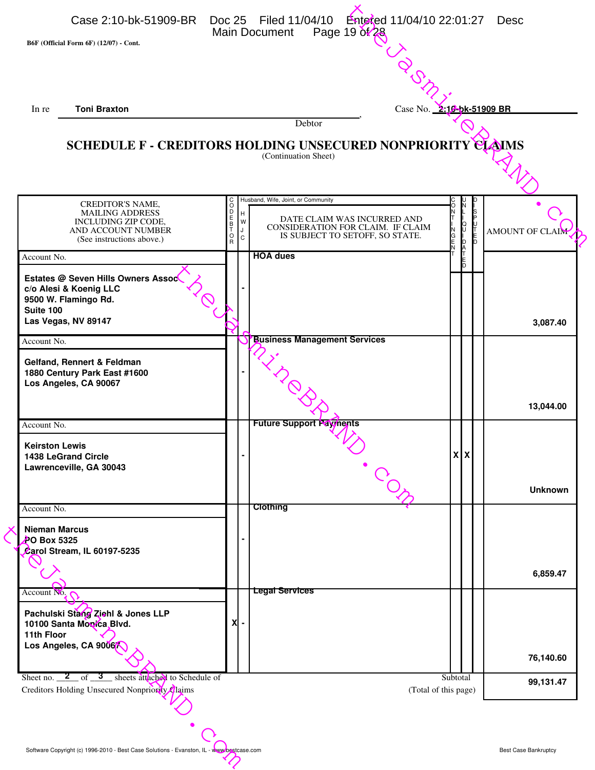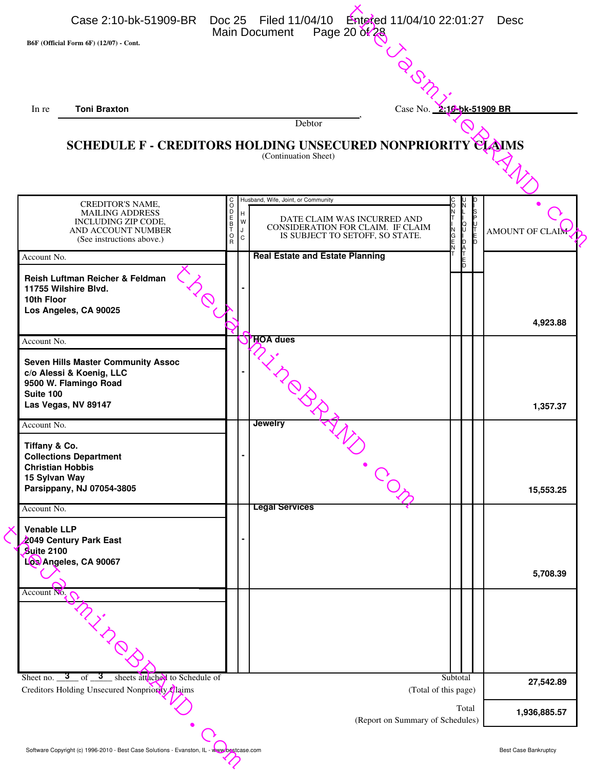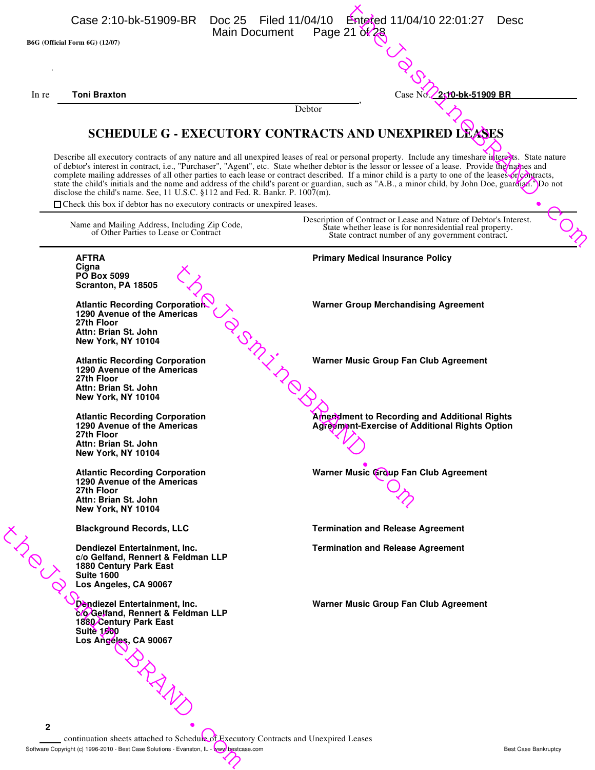|              |                                                                                                                                                                  | Case 2:10-bk-51909-BR  Doc 25  Filed 11/04/10  Enterted 11/04/10 22:01:27<br>Desc                                                                                                                                                                                                                                                                                                                                                                                                                                                                                                                                      |                             |
|--------------|------------------------------------------------------------------------------------------------------------------------------------------------------------------|------------------------------------------------------------------------------------------------------------------------------------------------------------------------------------------------------------------------------------------------------------------------------------------------------------------------------------------------------------------------------------------------------------------------------------------------------------------------------------------------------------------------------------------------------------------------------------------------------------------------|-----------------------------|
|              | <b>B6G</b> (Official Form 6G) (12/07)                                                                                                                            | Page 21 $\delta \sqrt{28}$<br>Main Document                                                                                                                                                                                                                                                                                                                                                                                                                                                                                                                                                                            |                             |
|              |                                                                                                                                                                  |                                                                                                                                                                                                                                                                                                                                                                                                                                                                                                                                                                                                                        |                             |
|              |                                                                                                                                                                  |                                                                                                                                                                                                                                                                                                                                                                                                                                                                                                                                                                                                                        |                             |
| In re        | <b>Toni Braxton</b>                                                                                                                                              | 2.10-bk-51909 BR                                                                                                                                                                                                                                                                                                                                                                                                                                                                                                                                                                                                       |                             |
|              |                                                                                                                                                                  | Debtor                                                                                                                                                                                                                                                                                                                                                                                                                                                                                                                                                                                                                 |                             |
|              |                                                                                                                                                                  | <b>SCHEDULE G - EXECUTORY CONTRACTS AND UNEXPIRED LEASES</b>                                                                                                                                                                                                                                                                                                                                                                                                                                                                                                                                                           |                             |
|              | disclose the child's name. See, 11 U.S.C. §112 and Fed. R. Bankr. P. 1007(m).<br>$\Box$ Check this box if debtor has no executory contracts or unexpired leases. | Describe all executory contracts of any nature and all unexpired leases of real or personal property. Include any timeshare interests. State nature<br>of debtor's interest in contract, i.e., "Purchaser", "Agent", etc. State whether debtor is the lessor or lessee of a lease. Provide the hames and<br>complete mailing addresses of all other parties to each lease or contract described. If a minor child is a party to one of the leases or contracts,<br>state the child's initials and the name and address of the child's parent or guardian, such as "A.B., a minor child, by John Doe, guardian.")Do not |                             |
|              | Name and Mailing Address, Including Zip Code,<br>of Other Parties to Lease or Contract                                                                           | Description of Contract or Lease and Nature of Debtor's Interest.<br>State whether lease is for nonresidential real property.<br>State contract number of any government contract.                                                                                                                                                                                                                                                                                                                                                                                                                                     |                             |
|              | <b>AFTRA</b>                                                                                                                                                     | <b>Primary Medical Insurance Policy</b>                                                                                                                                                                                                                                                                                                                                                                                                                                                                                                                                                                                |                             |
|              | Cigna<br><b>PO Box 5099</b><br>Scranton, PA 18505                                                                                                                |                                                                                                                                                                                                                                                                                                                                                                                                                                                                                                                                                                                                                        |                             |
|              | <b>Atlantic Recording Corporation</b><br>1290 Avenue of the Americas<br>27th Floor<br>Attn: Brian St. John<br>New York, NY 10104                                 | <b>Warner Group Merchandising Agreement</b>                                                                                                                                                                                                                                                                                                                                                                                                                                                                                                                                                                            |                             |
|              | <b>Atlantic Recording Corporation</b><br>1290 Avenue of the Americas<br>27th Floor<br>Attn: Brian St. John                                                       | Warner Music Group Fan Club Agreement                                                                                                                                                                                                                                                                                                                                                                                                                                                                                                                                                                                  |                             |
|              | New York, NY 10104                                                                                                                                               |                                                                                                                                                                                                                                                                                                                                                                                                                                                                                                                                                                                                                        |                             |
|              | <b>Atlantic Recording Corporation</b><br>1290 Avenue of the Americas                                                                                             | Ameridiment to Recording and Additional Rights<br>Agreement-Exercise of Additional Rights Option                                                                                                                                                                                                                                                                                                                                                                                                                                                                                                                       |                             |
|              | 27th Floor<br>Attn: Brian St. John<br>New York, NY 10104                                                                                                         |                                                                                                                                                                                                                                                                                                                                                                                                                                                                                                                                                                                                                        |                             |
|              | <b>Atlantic Recording Corporation</b>                                                                                                                            | Warner Music Group Fan Club Agreement                                                                                                                                                                                                                                                                                                                                                                                                                                                                                                                                                                                  |                             |
|              | 1290 Avenue of the Americas<br>27th Floor                                                                                                                        |                                                                                                                                                                                                                                                                                                                                                                                                                                                                                                                                                                                                                        |                             |
|              | Attn: Brian St. John<br>New York, NY 10104                                                                                                                       |                                                                                                                                                                                                                                                                                                                                                                                                                                                                                                                                                                                                                        |                             |
|              | <b>Blackground Records, LLC</b>                                                                                                                                  | <b>Termination and Release Agreement</b>                                                                                                                                                                                                                                                                                                                                                                                                                                                                                                                                                                               |                             |
|              | Dendiezel Entertainment, Inc.<br>c/o Gelfand, Rennert & Feldman LLP<br>1880 Century Park East<br><b>Suite 1600</b><br>Los Angeles, CA 90067                      | <b>Termination and Release Agreement</b>                                                                                                                                                                                                                                                                                                                                                                                                                                                                                                                                                                               |                             |
|              | Dendiezel Entertainment, Inc.<br>c/o/Gelfand, Rennert & Feldman LLP<br>1880 Century Park East<br><b>Suite 1660</b><br>Los Angeles, CA 90067                      | Warner Music Group Fan Club Agreement                                                                                                                                                                                                                                                                                                                                                                                                                                                                                                                                                                                  |                             |
|              |                                                                                                                                                                  |                                                                                                                                                                                                                                                                                                                                                                                                                                                                                                                                                                                                                        |                             |
| $\mathbf{2}$ |                                                                                                                                                                  | continuation sheets attached to Schedule of Executory Contracts and Unexpired Leases                                                                                                                                                                                                                                                                                                                                                                                                                                                                                                                                   |                             |
|              | Software Copyright (c) 1996-2010 - Best Case Solutions - Evanston, IL - www.bestcase.com                                                                         |                                                                                                                                                                                                                                                                                                                                                                                                                                                                                                                                                                                                                        | <b>Best Case Bankruptcy</b> |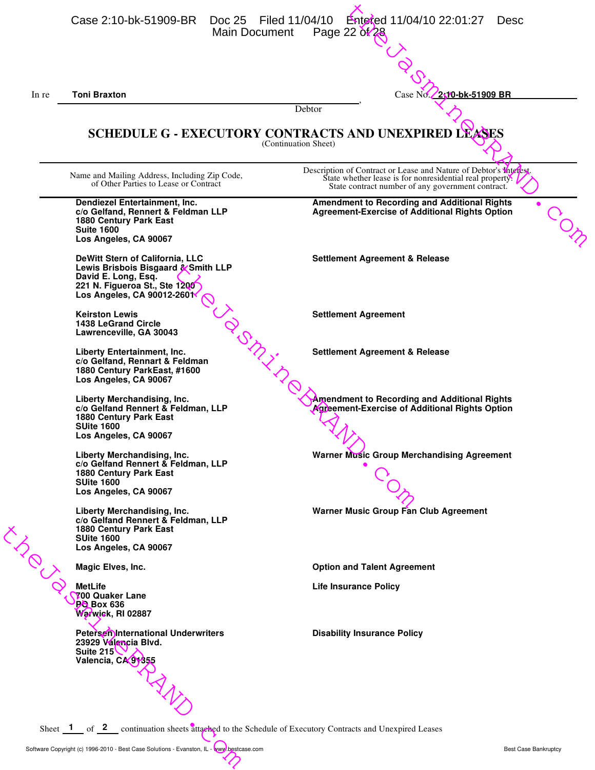|       | Case 2:10-bk-51909-BR                                                                                                                                        | Doc 25 Filed 11/04/10 Entered 11/04/10 22:01:27<br>Page 22 $\delta \sqrt{28}$<br>Main Document                                                                                     | Desc                        |
|-------|--------------------------------------------------------------------------------------------------------------------------------------------------------------|------------------------------------------------------------------------------------------------------------------------------------------------------------------------------------|-----------------------------|
|       |                                                                                                                                                              |                                                                                                                                                                                    |                             |
| In re | <b>Toni Braxton</b>                                                                                                                                          | 2:10-bk-51909 BR<br>Case No                                                                                                                                                        |                             |
|       |                                                                                                                                                              | Debtor                                                                                                                                                                             |                             |
|       |                                                                                                                                                              | <b>SCHEDULE G - EXECUTORY CONTRACTS AND UNEXPIRED LEASES</b><br>(Continuation Sheet)                                                                                               |                             |
|       | Name and Mailing Address, Including Zip Code,<br>of Other Parties to Lease or Contract                                                                       | Description of Contract or Lease and Nature of Debtor's Interest.<br>State whether lease is for nonresidential real property.<br>State contract number of any government contract. |                             |
|       | Dendiezel Entertainment, Inc.<br>c/o Gelfand, Rennert & Feldman LLP<br>1880 Century Park East<br><b>Suite 1600</b><br>Los Angeles, CA 90067                  | <b>Amendment to Recording and Additional Rights</b><br>Agreement-Exercise of Additional Rights Option                                                                              |                             |
|       | DeWitt Stern of California, LLC<br>Lewis Brisbois Bisgaard & Smith LLP<br>David E. Long, Esq.<br>221 N. Figueroa St., Ste 1200<br>Los Angeles, CA 90012-2601 | <b>Settlement Agreement &amp; Release</b>                                                                                                                                          |                             |
|       | <b>Keirston Lewis</b><br><b>1438 LeGrand Circle</b><br>Lawrenceville, GA 30043                                                                               | <b>Settlement Agreement</b>                                                                                                                                                        |                             |
|       | Liberty Entertainment, Inc.<br>c/o Gelfand, Rennart & Feldman<br>1880 Century ParkEast, #1600<br>Los Angeles, CA 90067                                       | <b>Settlement Agreement &amp; Release</b>                                                                                                                                          |                             |
|       | Liberty Merchandising, Inc.<br>c/o Gelfand Rennert & Feldman, LLP<br>1880 Century Park East<br><b>SUite 1600</b>                                             | <b>Amendment to Recording and Additional Rights</b><br><b>Agreement-Exercise of Additional Rights Option</b>                                                                       |                             |
|       | Los Angeles, CA 90067                                                                                                                                        |                                                                                                                                                                                    |                             |
|       | Liberty Merchandising, Inc.<br>c/o Gelfand Rennert & Feldman, LLP<br>1880 Century Park East<br><b>SUite 1600</b>                                             | <b>Warner Music Group Merchandising Agreement</b>                                                                                                                                  |                             |
|       | Los Angeles, CA 90067                                                                                                                                        |                                                                                                                                                                                    |                             |
|       | Liberty Merchandising, Inc.<br>c/o Gelfand Rennert & Feldman, LLP<br>1880 Century Park East<br><b>SUite 1600</b><br>Los Angeles, CA 90067                    | Warner Music Group Fan Club Agreement                                                                                                                                              |                             |
|       | Magic Elves, Inc.                                                                                                                                            | <b>Option and Talent Agreement</b>                                                                                                                                                 |                             |
|       | <b>MetLife</b><br><b>700 Quaker Lane</b><br>PA Box 636<br>Warwick, RI 02887                                                                                  | <b>Life Insurance Policy</b>                                                                                                                                                       |                             |
|       | Petersen International Underwriters<br>23929 Valençia Blvd.<br>Suite 215<br>Valencia, CA 91355                                                               | <b>Disability Insurance Policy</b>                                                                                                                                                 |                             |
|       |                                                                                                                                                              |                                                                                                                                                                                    |                             |
|       |                                                                                                                                                              | Sheet 1 of 2 continuation sheets attached to the Schedule of Executory Contracts and Unexpired Leases                                                                              |                             |
|       | Software Copyright (c) 1996-2010 - Best Case Solutions - Evanston, IL - www.bestcase.com                                                                     |                                                                                                                                                                                    | <b>Best Case Bankruptcy</b> |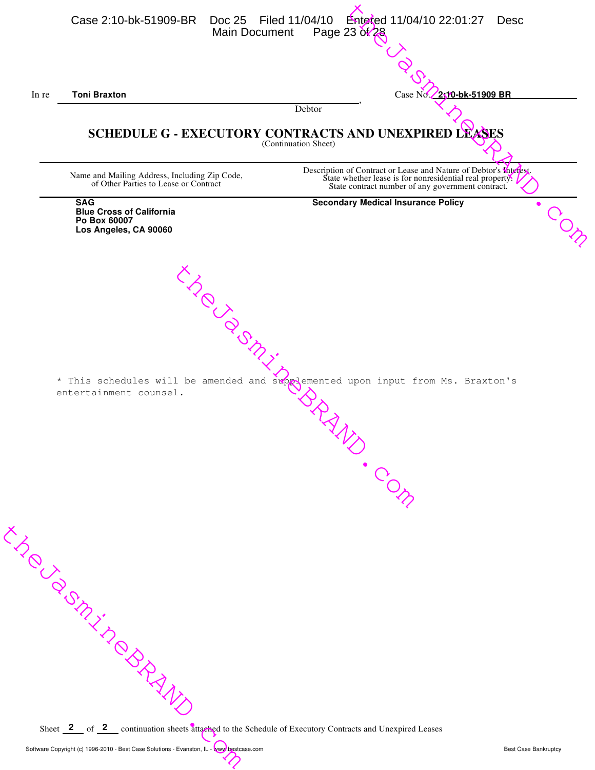the January Continues of the Software Copyright (c) 1996-2010 - Best Case Solutions - Evanston, IL - Week Destcome<br>Software Copyright (c) 1996-2010 - Best Case Solutions - Evanston, IL - Week Destcome Entered 11/04/10 22:01:27 Desc<br>
23 of 28<br>
<br>
<br>
Case No. 2:10-bk-51909 BR<br>
<br>
AND UNEXPIRED LEASES<br>
of Contract or Lease and Nature of Debtor's Mucrest<br>
contract or Lease and Nature of Debtor's Mucrest<br>
contract number of any the amended and supplemented upon input for the amended and supplemented upon input for Name and Mailing Address, Including Zip Code, of Other Parties to Lease or Contract Description of Contract or Lease and Nature of Debtor's *Interest*. State whether lease is for nonresidential real property. State contract number of any government contract. Sheet  $\begin{array}{c} 2 \\ 0 \end{array}$  of  $\begin{array}{c} 2 \\ 0 \end{array}$  continuation sheets attached to the Schedule of Executory Contracts and Unexpired Leases **SCHEDULE G - EXECUTORY CONTRACTS AND UNEXPIRED LEASES** (Continuation Sheet) In re , Debtor **Toni Braxton** Case No. **2:10-bk-51909 BR SAG Blue Cross of California Po Box 60007 Los Angeles, CA 90060 Secondary Medical Insurance Policy 2** of 2 Case 2:10-bk-51909-BR Doc 25 Filed 11/04/10 Entered 11/04/10 22:01:27 Desc<br>Main Document Page 23 of 28 Main Document \* This schedules will be amended and supplemented upon input from Ms. Braxton's entertainment counsel.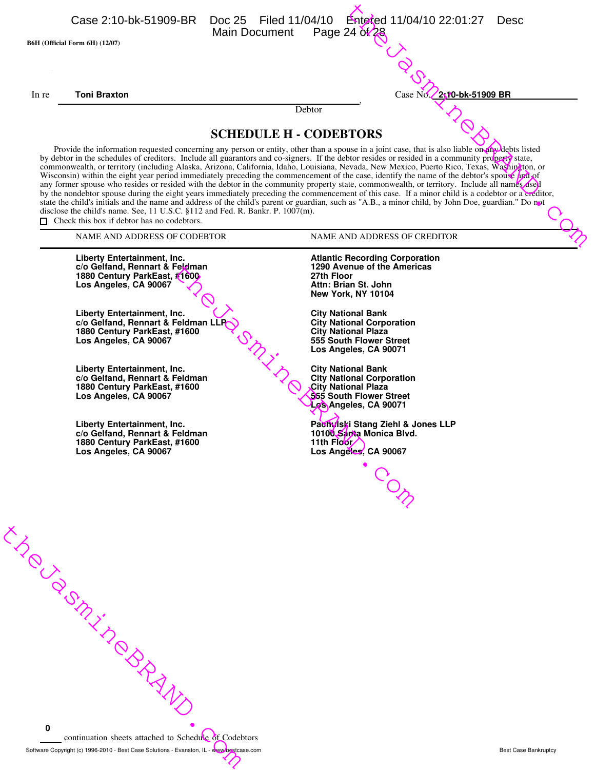|       | Case 2:10-bk-51909-BR  Doc 25  Filed 11/04/10  Entered 11/04/10  22:01:27                                                                                                                                                                                                                                                                                                                                                                                                                                                                                                                                                                                                                                                                                                                                                                                                                                                                                                                                                                                                                                                                                                                                |                               |                                                                                                                                                 |                                                                      | Desc                 |
|-------|----------------------------------------------------------------------------------------------------------------------------------------------------------------------------------------------------------------------------------------------------------------------------------------------------------------------------------------------------------------------------------------------------------------------------------------------------------------------------------------------------------------------------------------------------------------------------------------------------------------------------------------------------------------------------------------------------------------------------------------------------------------------------------------------------------------------------------------------------------------------------------------------------------------------------------------------------------------------------------------------------------------------------------------------------------------------------------------------------------------------------------------------------------------------------------------------------------|-------------------------------|-------------------------------------------------------------------------------------------------------------------------------------------------|----------------------------------------------------------------------|----------------------|
|       | B6H (Official Form 6H) (12/07)                                                                                                                                                                                                                                                                                                                                                                                                                                                                                                                                                                                                                                                                                                                                                                                                                                                                                                                                                                                                                                                                                                                                                                           | Main Document                 | Page 24 $\delta$ <sup><math>\sqrt{28}</math></sup>                                                                                              |                                                                      |                      |
|       |                                                                                                                                                                                                                                                                                                                                                                                                                                                                                                                                                                                                                                                                                                                                                                                                                                                                                                                                                                                                                                                                                                                                                                                                          |                               |                                                                                                                                                 |                                                                      |                      |
|       |                                                                                                                                                                                                                                                                                                                                                                                                                                                                                                                                                                                                                                                                                                                                                                                                                                                                                                                                                                                                                                                                                                                                                                                                          |                               |                                                                                                                                                 |                                                                      |                      |
| In re | <b>Toni Braxton</b>                                                                                                                                                                                                                                                                                                                                                                                                                                                                                                                                                                                                                                                                                                                                                                                                                                                                                                                                                                                                                                                                                                                                                                                      |                               |                                                                                                                                                 | 2:10-bk-51909 BR<br>Case No.                                         |                      |
|       |                                                                                                                                                                                                                                                                                                                                                                                                                                                                                                                                                                                                                                                                                                                                                                                                                                                                                                                                                                                                                                                                                                                                                                                                          |                               | Debtor                                                                                                                                          |                                                                      |                      |
|       |                                                                                                                                                                                                                                                                                                                                                                                                                                                                                                                                                                                                                                                                                                                                                                                                                                                                                                                                                                                                                                                                                                                                                                                                          | <b>SCHEDULE H - CODEBTORS</b> |                                                                                                                                                 |                                                                      |                      |
|       | Provide the information requested concerning any person or entity, other than a spouse in a joint case, that is also liable on the bulk debts listed<br>by debtor in the schedules of creditors. Include all guarantors and co-signers. If the debtor resides or resided in a community property state,<br>commonwealth, or territory (including Alaska, Arizona, California, Idaho, Louisiana, Nevada, New Mexico, Puerto Rico, Texas, Washington, or<br>Wisconsin) within the eight year period immediately preceding the commencement of the case, identify the name of the debtor's spouse Apd of<br>any former spouse who resides or resided with the debtor in the community property state, commonwealth, or territory. Include all names as el<br>by the nondebtor spouse during the eight years immediately preceding the commencement of this case. If a minor child is a codebtor or a creditor,<br>state the child's initials and the name and address of the child's parent or guardian, such as "A.B., a minor child, by John Doe, guardian." Do not<br>disclose the child's name. See, 11 U.S.C. §112 and Fed. R. Bankr. P. 1007(m).<br>$\Box$ Check this box if debtor has no codebtors. |                               |                                                                                                                                                 |                                                                      |                      |
|       | NAME AND ADDRESS OF CODEBTOR                                                                                                                                                                                                                                                                                                                                                                                                                                                                                                                                                                                                                                                                                                                                                                                                                                                                                                                                                                                                                                                                                                                                                                             |                               |                                                                                                                                                 | <b>NAME AND ADDRESS OF CREDITOR</b>                                  |                      |
|       | Liberty Entertainment, Inc.<br>c/o Gelfand, Rennart & Feldman<br>1880 Century ParkEast, #1600<br>Los Angeles, CA 90067                                                                                                                                                                                                                                                                                                                                                                                                                                                                                                                                                                                                                                                                                                                                                                                                                                                                                                                                                                                                                                                                                   |                               | 27th Floor<br>Attn: Brian St. John<br>New York, NY 10104                                                                                        | <b>Atlantic Recording Corporation</b><br>1290 Avenue of the Americas |                      |
|       | Liberty Entertainment, Inc.<br>c/o Gelfand, Rennart & Feldman LLP<br>1880 Century ParkEast, #1600<br>Los Angeles, CA 90067                                                                                                                                                                                                                                                                                                                                                                                                                                                                                                                                                                                                                                                                                                                                                                                                                                                                                                                                                                                                                                                                               |                               | <b>City National Bank</b><br><b>City National Corporation</b><br><b>City National Plaza</b><br>555 South Flower Street<br>Los Angeles, CA 90071 |                                                                      |                      |
|       | Liberty Entertainment, Inc.<br>c/o Gelfand, Rennart & Feldman<br>1880 Century ParkEast, #1600<br>Los Angeles, CA 90067                                                                                                                                                                                                                                                                                                                                                                                                                                                                                                                                                                                                                                                                                                                                                                                                                                                                                                                                                                                                                                                                                   |                               | <b>City National Bank</b><br><b>City National Corporation</b><br>City National Plaza<br>555 South Flower Street<br>Los Angeles, CA 90071        |                                                                      |                      |
|       | Liberty Entertainment, Inc.<br>c/o Gelfand, Rennart & Feldman<br>1880 Century ParkEast, #1600<br>Los Angeles, CA 90067                                                                                                                                                                                                                                                                                                                                                                                                                                                                                                                                                                                                                                                                                                                                                                                                                                                                                                                                                                                                                                                                                   |                               | 10100. <i>Sa</i> nta Monica Blvd.<br>11th Floor<br>Los Angeles, CA 90067                                                                        | Pachylski Stang Ziehl & Jones LLP                                    |                      |
|       |                                                                                                                                                                                                                                                                                                                                                                                                                                                                                                                                                                                                                                                                                                                                                                                                                                                                                                                                                                                                                                                                                                                                                                                                          |                               |                                                                                                                                                 |                                                                      |                      |
|       | <b>XIROUND BRAND</b>                                                                                                                                                                                                                                                                                                                                                                                                                                                                                                                                                                                                                                                                                                                                                                                                                                                                                                                                                                                                                                                                                                                                                                                     |                               |                                                                                                                                                 |                                                                      |                      |
| 0     | continuation sheets attached to Schedule of Codebtors                                                                                                                                                                                                                                                                                                                                                                                                                                                                                                                                                                                                                                                                                                                                                                                                                                                                                                                                                                                                                                                                                                                                                    |                               |                                                                                                                                                 |                                                                      |                      |
|       | Software Copyright (c) 1996-2010 - Best Case Solutions - Evanston, IL - www.oestcase.com                                                                                                                                                                                                                                                                                                                                                                                                                                                                                                                                                                                                                                                                                                                                                                                                                                                                                                                                                                                                                                                                                                                 |                               |                                                                                                                                                 |                                                                      | Best Case Bankruptcy |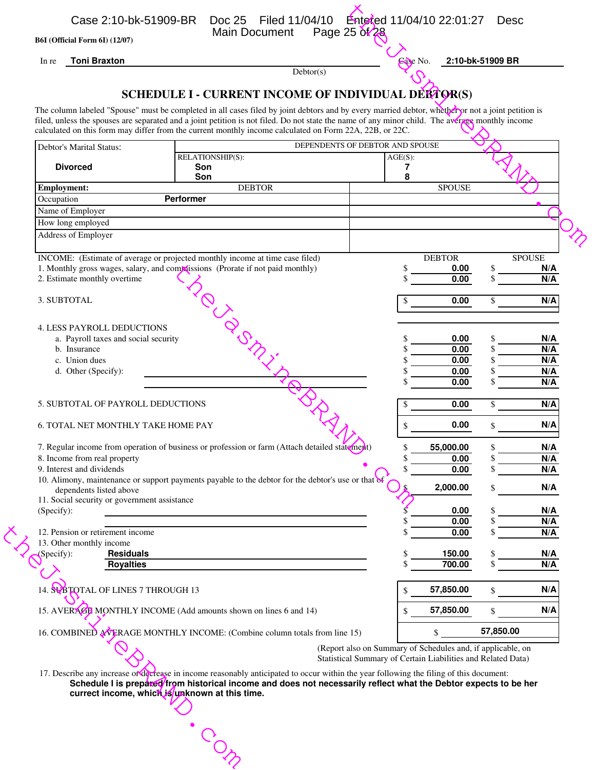| <b>Toni Braxton</b><br>In re                                            |                                                                                                                                                                                                                                                            | Case No.                                                     |                       | 2:10-bk-51909 BR           |
|-------------------------------------------------------------------------|------------------------------------------------------------------------------------------------------------------------------------------------------------------------------------------------------------------------------------------------------------|--------------------------------------------------------------|-----------------------|----------------------------|
|                                                                         | Dektor(s)                                                                                                                                                                                                                                                  |                                                              |                       |                            |
|                                                                         | <b>SCHEDULE I - CURRENT INCOME OF INDIVIDUAL DEBTOR(S)</b>                                                                                                                                                                                                 |                                                              |                       |                            |
|                                                                         | The column labeled "Spouse" must be completed in all cases filed by joint debtors and by every married debtor, whether or not a joint petition is                                                                                                          |                                                              |                       |                            |
|                                                                         | filed, unless the spouses are separated and a joint petition is not filed. Do not state the name of any minor child. The average monthly income<br>calculated on this form may differ from the current monthly income calculated on Form 22A, 22B, or 22C. |                                                              |                       |                            |
| <b>Debtor's Marital Status:</b>                                         |                                                                                                                                                                                                                                                            | DEPENDENTS OF DEBTOR AND SPOUSE                              |                       |                            |
| <b>Divorced</b>                                                         | RELATIONSHIP(S):<br>Son                                                                                                                                                                                                                                    | AGE(S):<br>7                                                 |                       |                            |
|                                                                         | Son                                                                                                                                                                                                                                                        | 8                                                            |                       |                            |
| <b>Employment:</b>                                                      | <b>DEBTOR</b>                                                                                                                                                                                                                                              |                                                              | <b>SPOUSE</b>         |                            |
| Occupation<br>Name of Employer                                          | Performer                                                                                                                                                                                                                                                  |                                                              |                       |                            |
| How long employed                                                       |                                                                                                                                                                                                                                                            |                                                              |                       |                            |
| Address of Employer                                                     |                                                                                                                                                                                                                                                            |                                                              |                       |                            |
|                                                                         |                                                                                                                                                                                                                                                            |                                                              |                       |                            |
|                                                                         | INCOME: (Estimate of average or projected monthly income at time case filed)<br>1. Monthly gross wages, salary, and compaissions (Prorate if not paid monthly)                                                                                             |                                                              | <b>DEBTOR</b><br>0.00 | <b>SPOUSE</b><br>\$<br>N/A |
| 2. Estimate monthly overtime                                            |                                                                                                                                                                                                                                                            |                                                              | 0.00                  | \$<br>N/A                  |
| 3. SUBTOTAL                                                             |                                                                                                                                                                                                                                                            |                                                              | 0.00                  | \$<br>N/A                  |
|                                                                         |                                                                                                                                                                                                                                                            |                                                              |                       |                            |
| <b>4. LESS PAYROLL DEDUCTIONS</b>                                       |                                                                                                                                                                                                                                                            |                                                              |                       |                            |
| a. Payroll taxes and social security                                    |                                                                                                                                                                                                                                                            |                                                              | 0.00                  | N/A                        |
| b. Insurance                                                            |                                                                                                                                                                                                                                                            |                                                              | 0.00                  | N/A<br>S                   |
| c. Union dues<br>d. Other (Specify):                                    |                                                                                                                                                                                                                                                            |                                                              | 0.00<br>0.00          | N/A<br>\$<br>N/A           |
|                                                                         |                                                                                                                                                                                                                                                            |                                                              | 0.00                  | N/A                        |
| 5. SUBTOTAL OF PAYROLL DEDUCTIONS                                       |                                                                                                                                                                                                                                                            |                                                              | 0.00                  | \$<br>N/A                  |
| <b>6. TOTAL NET MONTHLY TAKE HOME PAY</b>                               |                                                                                                                                                                                                                                                            |                                                              | 0.00                  | N/A<br>\$                  |
|                                                                         |                                                                                                                                                                                                                                                            |                                                              |                       |                            |
| 8. Income from real property                                            | 7. Regular income from operation of business or profession or farm (Attach detailed statement)                                                                                                                                                             |                                                              | 55,000.00<br>0.00     | \$<br>N/A<br>N/A           |
| 9. Interest and dividends                                               |                                                                                                                                                                                                                                                            |                                                              | 0.00                  | N/A                        |
|                                                                         | 10. Alimony, maintenance or support payments payable to the debtor for the debtor's use or that of                                                                                                                                                         |                                                              | 2,000.00              | N/A                        |
| dependents listed above<br>11. Social security or government assistance |                                                                                                                                                                                                                                                            |                                                              |                       | \$                         |
| (Specify):                                                              |                                                                                                                                                                                                                                                            |                                                              | 0.00                  | N/A                        |
| 12. Pension or retirement income                                        |                                                                                                                                                                                                                                                            |                                                              | 0.00<br>0.00          | N/A<br>N/A                 |
| 13. Other monthly income                                                |                                                                                                                                                                                                                                                            |                                                              |                       |                            |
| (Specify):<br><b>Residuals</b>                                          |                                                                                                                                                                                                                                                            |                                                              | 150.00                | N/A<br>S                   |
| <b>Royalties</b>                                                        |                                                                                                                                                                                                                                                            |                                                              | 700.00                | N/A<br>S                   |
| 14. SUBTOTAL OF LINES 7 THROUGH 13                                      |                                                                                                                                                                                                                                                            |                                                              | 57,850.00             | N/A<br>\$                  |
|                                                                         | 15. AVERACE MONTHLY INCOME (Add amounts shown on lines 6 and 14)                                                                                                                                                                                           |                                                              | 57,850.00             | N/A<br>\$                  |
|                                                                         | 16. COMBINED AVERAGE MONTHLY INCOME: (Combine column totals from line 15)                                                                                                                                                                                  |                                                              | \$                    | 57,850.00                  |
|                                                                         |                                                                                                                                                                                                                                                            | (Report also on Summary of Schedules and, if applicable, on  |                       |                            |
|                                                                         |                                                                                                                                                                                                                                                            | Statistical Summary of Certain Liabilities and Related Data) |                       |                            |
|                                                                         | 17. Describe any increase or decrease in income reasonably anticipated to occur within the year following the filing of this document:                                                                                                                     |                                                              |                       |                            |
|                                                                         | Schedule I is prepared/from historical income and does not necessarily reflect what the Debtor expects to be her<br>currect income, which is unknown at this time.                                                                                         |                                                              |                       |                            |
|                                                                         |                                                                                                                                                                                                                                                            |                                                              |                       |                            |
|                                                                         |                                                                                                                                                                                                                                                            |                                                              |                       |                            |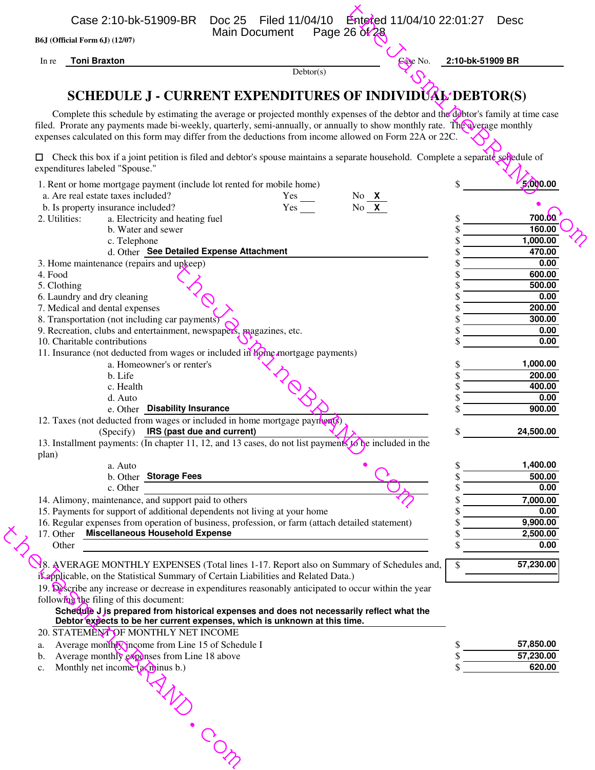|               | B6J (Official Form 6J) (12/07)                                                                                                                                                                                                                                                                                                                                              |            |                         |          |                  |                |
|---------------|-----------------------------------------------------------------------------------------------------------------------------------------------------------------------------------------------------------------------------------------------------------------------------------------------------------------------------------------------------------------------------|------------|-------------------------|----------|------------------|----------------|
| In re         | <b>Toni Braxton</b>                                                                                                                                                                                                                                                                                                                                                         | Dektor(s)  |                         | Gase No. | 2:10-bk-51909 BR |                |
|               |                                                                                                                                                                                                                                                                                                                                                                             |            |                         |          |                  |                |
|               | SCHEDULE J - CURRENT EXPENDITURES OF INDIVIDUAL DEBTOR(S)                                                                                                                                                                                                                                                                                                                   |            |                         |          |                  |                |
|               | Complete this schedule by estimating the average or projected monthly expenses of the debtor and the debtor's family at time case<br>filed. Prorate any payments made bi-weekly, quarterly, semi-annually, or annually to show monthly rate. The average monthly<br>expenses calculated on this form may differ from the deductions from income allowed on Form 22A or 22C. |            |                         |          |                  |                |
| 0             | Check this box if a joint petition is filed and debtor's spouse maintains a separate household. Complete a separate schedule of<br>expenditures labeled "Spouse."                                                                                                                                                                                                           |            |                         |          |                  |                |
|               | 1. Rent or home mortgage payment (include lot rented for mobile home)                                                                                                                                                                                                                                                                                                       |            |                         |          |                  | 5000.00        |
|               | a. Are real estate taxes included?<br>b. Is property insurance included?                                                                                                                                                                                                                                                                                                    | Yes<br>Yes | No X<br>No $\mathbf{X}$ |          |                  |                |
| 2. Utilities: | a. Electricity and heating fuel                                                                                                                                                                                                                                                                                                                                             |            |                         |          | \$               | 700.00         |
|               | b. Water and sewer                                                                                                                                                                                                                                                                                                                                                          |            |                         |          |                  | 160.00         |
|               | c. Telephone                                                                                                                                                                                                                                                                                                                                                                |            |                         |          |                  | 1,000.00       |
|               | d. Other See Detailed Expense Attachment                                                                                                                                                                                                                                                                                                                                    |            |                         |          |                  | 470.00         |
| 4. Food       | 3. Home maintenance (repairs and upkeep)                                                                                                                                                                                                                                                                                                                                    |            |                         |          |                  | 0.00<br>600.00 |
| 5. Clothing   |                                                                                                                                                                                                                                                                                                                                                                             |            |                         |          |                  | 500.00         |
|               | 6. Laundry and dry cleaning                                                                                                                                                                                                                                                                                                                                                 |            |                         |          |                  | 0.00           |
|               | 7. Medical and dental expenses                                                                                                                                                                                                                                                                                                                                              |            |                         |          |                  | 200.00         |
|               | 8. Transportation (not including car payments)                                                                                                                                                                                                                                                                                                                              |            |                         |          |                  | 300.00         |
|               | 9. Recreation, clubs and entertainment, newspapers, magazines, etc.                                                                                                                                                                                                                                                                                                         |            |                         |          |                  | 0.00           |
|               | 10. Charitable contributions<br>11. Insurance (not deducted from wages or included in home mortgage payments)                                                                                                                                                                                                                                                               |            |                         |          |                  | 0.00           |
|               | a. Homeowner's or renter's                                                                                                                                                                                                                                                                                                                                                  |            |                         |          |                  | 1,000.00       |
|               | b. Life                                                                                                                                                                                                                                                                                                                                                                     |            |                         |          |                  | 200.00         |
|               | c. Health                                                                                                                                                                                                                                                                                                                                                                   |            |                         |          |                  | 400.00         |
|               | d. Auto                                                                                                                                                                                                                                                                                                                                                                     |            |                         |          |                  | 0.00           |
|               | e. Other Disability Insurance<br>12. Taxes (not deducted from wages or included in home mortgage payments)                                                                                                                                                                                                                                                                  |            |                         |          |                  | 900.00         |
|               | (Specify) <b>IRS</b> (past due and current)                                                                                                                                                                                                                                                                                                                                 |            |                         |          |                  | 24,500.00      |
|               | 13. Installment payments: (In chapter 11, 12, and 13 cases, do not list payments to be included in the                                                                                                                                                                                                                                                                      |            |                         |          |                  |                |
| plan)         |                                                                                                                                                                                                                                                                                                                                                                             |            |                         |          |                  |                |
|               | a. Auto                                                                                                                                                                                                                                                                                                                                                                     |            |                         |          | \$               | 1,400.00       |
|               | b. Other Storage Fees<br>c. Other                                                                                                                                                                                                                                                                                                                                           |            |                         |          | \$<br>S          | 500.00<br>0.00 |
|               | 14. Alimony, maintenance, and support paid to others                                                                                                                                                                                                                                                                                                                        |            |                         |          |                  | 7,000.00       |
|               | 15. Payments for support of additional dependents not living at your home                                                                                                                                                                                                                                                                                                   |            |                         |          |                  | 0.00           |
|               | 16. Regular expenses from operation of business, profession, or farm (attach detailed statement)                                                                                                                                                                                                                                                                            |            |                         |          | S                | 9,900.00       |
|               | 17. Other Miscellaneous Household Expense                                                                                                                                                                                                                                                                                                                                   |            |                         |          |                  | 2,500.00       |
| Other         |                                                                                                                                                                                                                                                                                                                                                                             |            |                         |          |                  | 0.00           |
|               | 8. AVERAGE MONTHLY EXPENSES (Total lines 1-17. Report also on Summary of Schedules and,<br>it applicable, on the Statistical Summary of Certain Liabilities and Related Data.)                                                                                                                                                                                              |            |                         |          | \$               | 57,230.00      |
|               | 19. Describe any increase or decrease in expenditures reasonably anticipated to occur within the year<br>following the filing of this document:                                                                                                                                                                                                                             |            |                         |          |                  |                |
|               | Schedule J is prepared from historical expenses and does not necessarily reflect what the<br>Debtor expects to be her current expenses, which is unknown at this time.                                                                                                                                                                                                      |            |                         |          |                  |                |
|               | 20. STATEMENT OF MONTHLY NET INCOME                                                                                                                                                                                                                                                                                                                                         |            |                         |          |                  |                |
| a.            | Average month Cincome from Line 15 of Schedule I                                                                                                                                                                                                                                                                                                                            |            |                         |          |                  | 57,850.00      |
| b.            | Average monthly expenses from Line 18 above                                                                                                                                                                                                                                                                                                                                 |            |                         |          |                  | 57,230.00      |
| c.            | Monthly net income $(a\hat{m})$ inus b.)                                                                                                                                                                                                                                                                                                                                    |            |                         |          |                  | 620.00         |
|               |                                                                                                                                                                                                                                                                                                                                                                             |            |                         |          |                  |                |
|               |                                                                                                                                                                                                                                                                                                                                                                             |            |                         |          |                  |                |
|               |                                                                                                                                                                                                                                                                                                                                                                             |            |                         |          |                  |                |
|               |                                                                                                                                                                                                                                                                                                                                                                             |            |                         |          |                  |                |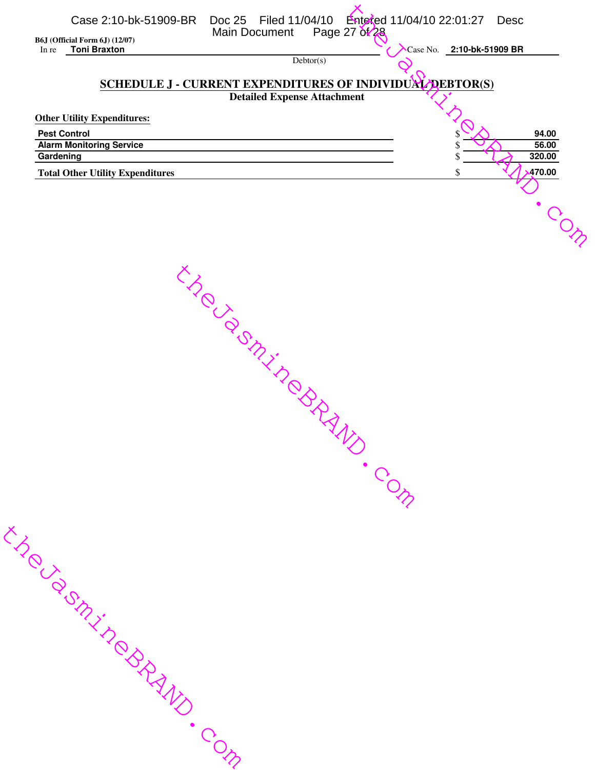| <b>B6J</b> (Official Form 6J) (12/07)<br><b>Toni Braxton</b><br>In re                                                                                | Case 2:10-bk-51909-BR Doc 25 Filed 11/04/10 Entered 11/04/10 22:01:27<br><b>Desc</b><br>Page 27 0t/28<br>Main Document<br>Case No.<br>2:10-bk-51909 BR<br>Dektor(s) |
|------------------------------------------------------------------------------------------------------------------------------------------------------|---------------------------------------------------------------------------------------------------------------------------------------------------------------------|
|                                                                                                                                                      |                                                                                                                                                                     |
|                                                                                                                                                      | SCHEDULE J - CURRENT EXPENDITURES OF INDIVIDUAL DEBTOR(S)                                                                                                           |
|                                                                                                                                                      | <b>Detailed Expense Attachment</b>                                                                                                                                  |
| <b>Other Utility Expenditures:</b><br><b>Pest Control</b><br><b>Alarm Monitoring Service</b><br>Gardening<br><b>Total Other Utility Expenditures</b> | 94.00<br>56.00<br>320.00<br>470.00<br>S                                                                                                                             |
|                                                                                                                                                      |                                                                                                                                                                     |

theJasmineBRAND.com

the JamineBRAND.com